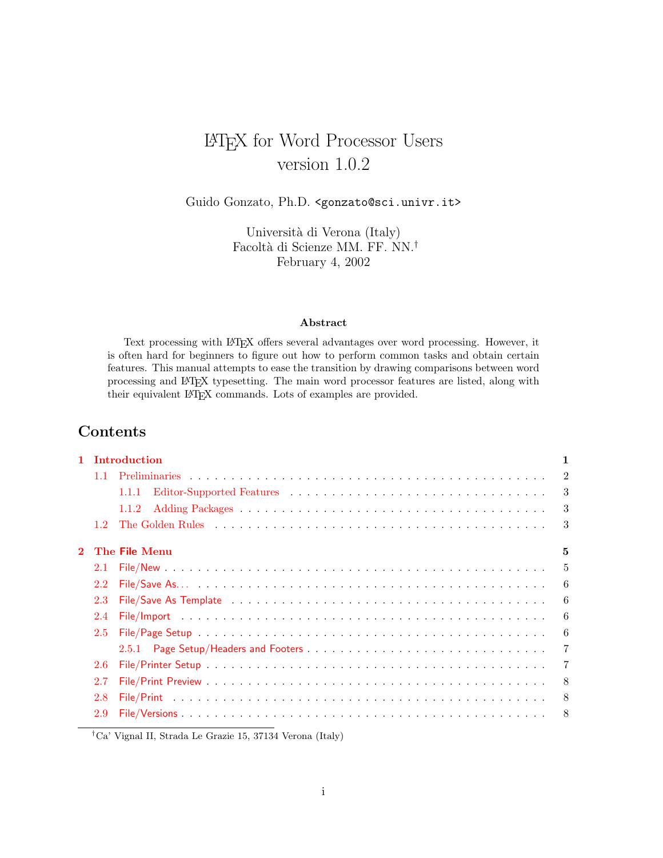# LATEX for Word Processor Users version 1.0.2

Guido Gonzato, Ph.D. <gonzato@sci.univr.it>

Università di Verona (Italy) Facoltà di Scienze MM. FF. NN.<sup>†</sup> February 4, 2002

#### Abstract

Text processing with LATEX offers several advantages over word processing. However, it is often hard for beginners to figure out how to perform common tasks and obtain certain features. This manual attempts to ease the transition by drawing comparisons between word processing and LATEX typesetting. The main word processor features are listed, along with their equivalent LATEX commands. Lots of examples are provided.

## Contents

|                |     | 1 Introduction | $\mathbf{1}$   |
|----------------|-----|----------------|----------------|
|                |     |                | $\overline{2}$ |
|                |     | 1.1.1          | 3              |
|                |     | 1.1.2          | 3              |
|                | 12  |                | 3              |
| $\overline{2}$ |     | The File Menu  | 5              |
|                | 2.1 |                | 5              |
|                | 2.2 |                | 6              |
|                | 2.3 |                | 6              |
|                | 2.4 |                | 6              |
|                | 2.5 |                | 6              |
|                |     |                | $\overline{7}$ |
|                | 2.6 |                | 7              |
|                | 2.7 |                | 8              |
|                | 2.8 |                | 8              |
|                | 2.9 |                | - 8            |
|                |     |                |                |

†Ca' Vignal II, Strada Le Grazie 15, 37134 Verona (Italy)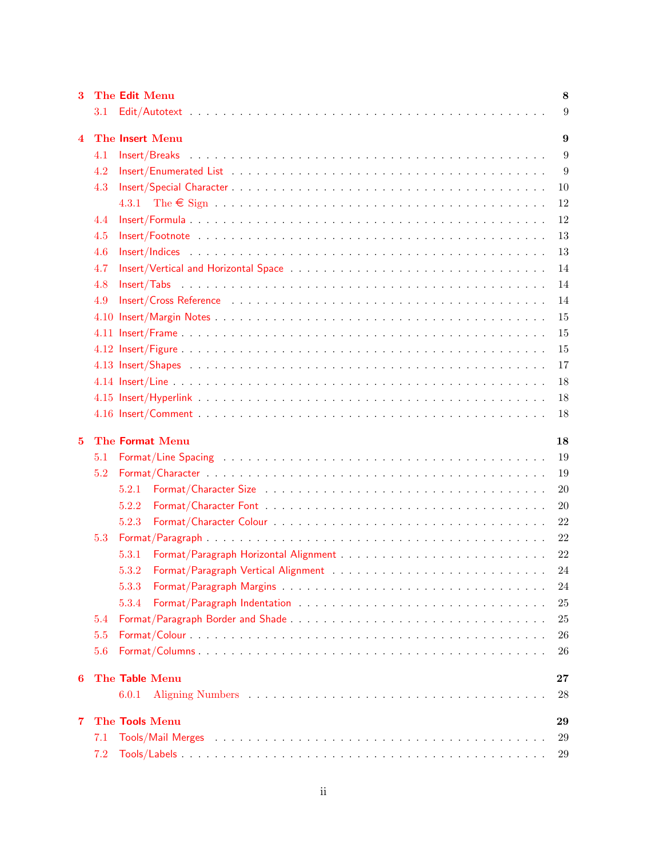| 3                       |      | The Edit Menu   | 8      |
|-------------------------|------|-----------------|--------|
|                         | 3.1  |                 | 9      |
| $\overline{\mathbf{4}}$ |      | The Insert Menu | 9      |
|                         | 4.1  |                 | 9      |
|                         | 4.2  |                 | 9      |
|                         | 4.3  |                 | 10     |
|                         |      |                 | 12     |
|                         | 4.4  |                 | 12     |
|                         | 4.5  |                 | 13     |
|                         | 4.6  |                 | 13     |
|                         | 4.7  |                 | 14     |
|                         | 4.8  |                 | 14     |
|                         | 4.9  |                 | 14     |
|                         | 4.10 |                 | 15     |
|                         |      |                 | 15     |
|                         |      |                 | 15     |
|                         |      |                 | 17     |
|                         |      |                 | 18     |
|                         |      |                 | 18     |
|                         |      |                 | 18     |
|                         |      |                 |        |
| 5                       |      | The Format Menu | 18     |
|                         | 5.1  |                 | 19     |
|                         | 5.2  |                 | 19     |
|                         |      | 5.2.1           | 20     |
|                         |      | 5.2.2           | 20     |
|                         |      | 5.2.3           | 22     |
|                         | 5.3  |                 | 22     |
|                         |      | 5.3.1           | 22     |
|                         |      | 5.3.2           | 24     |
|                         |      | 5.3.3           | 24     |
|                         |      | 5.3.4           | 25     |
|                         | 5.4  |                 | 25     |
|                         | 5.5  |                 | 26     |
|                         | 5.6  |                 | 26     |
| 6                       |      | The Table Menu  | $27\,$ |
|                         |      | 6.0.1           | 28     |
| 7                       |      | The Tools Menu  | 29     |
|                         | 7.1  |                 | 29     |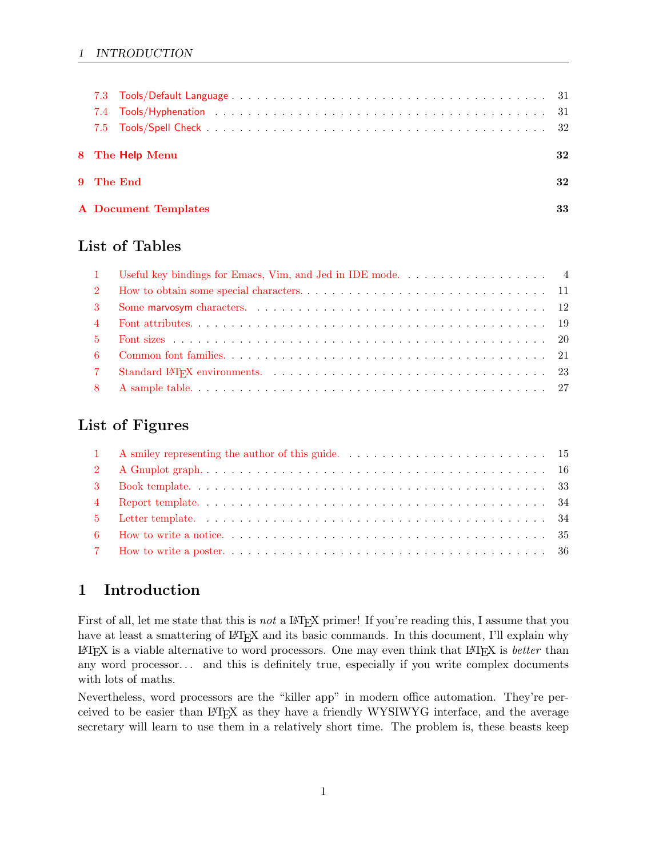## 1 INTRODUCTION

|  | 8 The Help Menu             | 32 |
|--|-----------------------------|----|
|  | 9 The End                   | 32 |
|  | <b>A</b> Document Templates | 33 |

# List of Tables

## List of Figures

# <span id="page-2-0"></span>1 Introduction

First of all, let me state that this is *not* a LAT<sub>E</sub>X primer! If you're reading this, I assume that you have at least a smattering of LAT<sub>E</sub>X and its basic commands. In this document, I'll explain why  $\Delta E$ TEX is a viable alternative to word processors. One may even think that  $\Delta E$ FEX is *better* than any word processor... and this is definitely true, especially if you write complex documents with lots of maths.

Nevertheless, word processors are the "killer app" in modern office automation. They're perceived to be easier than LATEX as they have a friendly WYSIWYG interface, and the average secretary will learn to use them in a relatively short time. The problem is, these beasts keep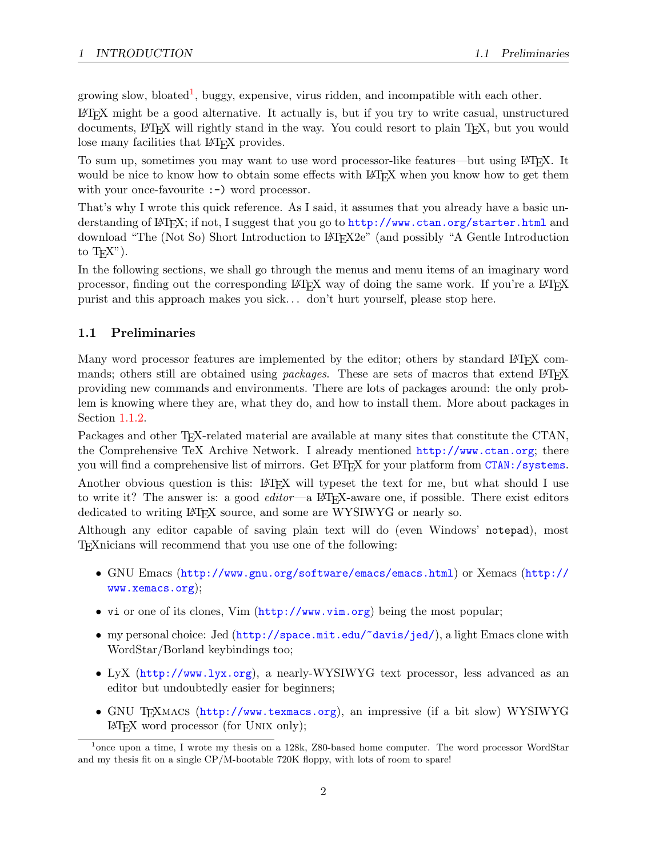growing slow, bloated<sup>[1](#page-3-1)</sup>, buggy, expensive, virus ridden, and incompatible with each other.

LATEX might be a good alternative. It actually is, but if you try to write casual, unstructured documents, LATEX will rightly stand in the way. You could resort to plain TEX, but you would lose many facilities that LAT<sub>EX</sub> provides.

To sum up, sometimes you may want to use word processor-like features—but using LATEX. It would be nice to know how to obtain some effects with LAT<sub>EX</sub> when you know how to get them with your once-favourite :-) word processor.

That's why I wrote this quick reference. As I said, it assumes that you already have a basic understanding of LATEX; if not, I suggest that you go to <http://www.ctan.org/starter.html> and download "The (Not So) Short Introduction to LATEX2e" (and possibly "A Gentle Introduction to  $T_{F}X$ ").

In the following sections, we shall go through the menus and menu items of an imaginary word processor, finding out the corresponding LATEX way of doing the same work. If you're a LATEX purist and this approach makes you sick. . . don't hurt yourself, please stop here.

## <span id="page-3-0"></span>1.1 Preliminaries

Many word processor features are implemented by the editor; others by standard LATEX commands; others still are obtained using *packages*. These are sets of macros that extend LAT<sub>E</sub>X providing new commands and environments. There are lots of packages around: the only problem is knowing where they are, what they do, and how to install them. More about packages in Section [1.1.2.](#page-4-1)

Packages and other T<sub>F</sub>X-related material are available at many sites that constitute the CTAN, the Comprehensive TeX Archive Network. I already mentioned <http://www.ctan.org>; there you will find a comprehensive list of mirrors. Get LAT<sub>EX</sub> for your platform from <CTAN:/systems>.

Another obvious question is this: LAT<sub>EX</sub> will typeset the text for me, but what should I use to write it? The answer is: a good  $editor$ —a LAT<sub>EX</sub>-aware one, if possible. There exist editors dedicated to writing LAT<sub>EX</sub> source, and some are WYSIWYG or nearly so.

Although any editor capable of saving plain text will do (even Windows' notepad), most TEXnicians will recommend that you use one of the following:

- GNU Emacs (<http://www.gnu.org/software/emacs/emacs.html>) or Xemacs ([http://](http://www.xemacs.org) [www.xemacs.org](http://www.xemacs.org));
- vi or one of its clones, Vim (<http://www.vim.org>) being the most popular;
- my personal choice: Jed (<http://space.mit.edu/~davis/jed/>), a light Emacs clone with WordStar/Borland keybindings too;
- LyX (<http://www.lyx.org>), a nearly-WYSIWYG text processor, less advanced as an editor but undoubtedly easier for beginners;
- GNU T<sub>EXMACS</sub> (<http://www.texmacs.org>), an impressive (if a bit slow) WYSIWYG LATEX word processor (for Unix only);

<span id="page-3-1"></span><sup>&</sup>lt;sup>1</sup>once upon a time, I wrote my thesis on a 128k, Z80-based home computer. The word processor WordStar and my thesis fit on a single CP/M-bootable 720K floppy, with lots of room to spare!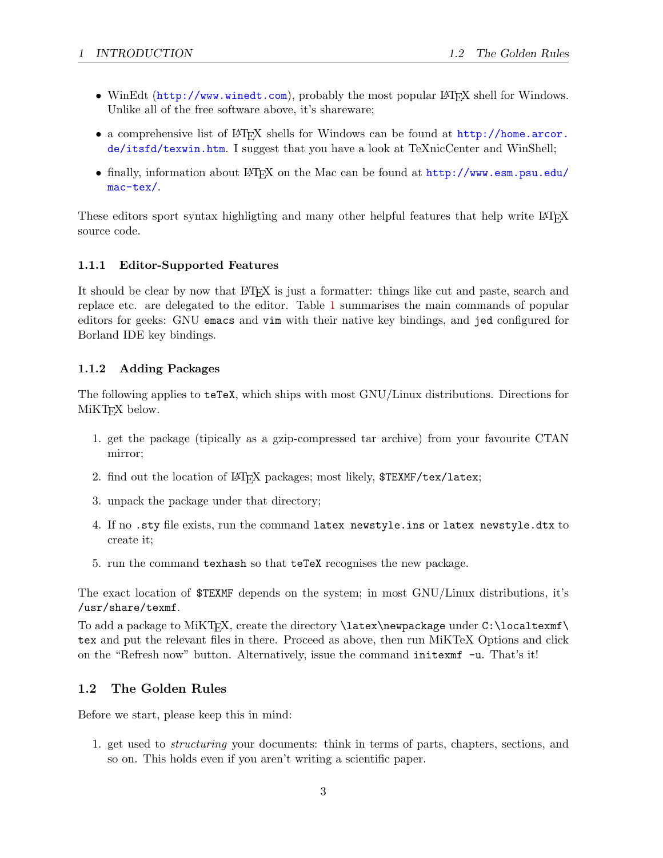- WinEdt (<http://www.winedt.com>), probably the most popular LATEX shell for Windows. Unlike all of the free software above, it's shareware;
- a comprehensive list of LATEX shells for Windows can be found at [http://home.arcor.](http://home.arcor.de/itsfd/texwin.htm) [de/itsfd/texwin.htm](http://home.arcor.de/itsfd/texwin.htm). I suggest that you have a look at TeXnicCenter and WinShell;
- finally, information about LATEX on the Mac can be found at [http://www.esm.psu.edu/](http://www.esm.psu.edu/mac-tex/) [mac-tex/](http://www.esm.psu.edu/mac-tex/).

These editors sport syntax highligting and many other helpful features that help write LATEX source code.

## <span id="page-4-0"></span>1.1.1 Editor-Supported Features

It should be clear by now that LAT<sub>EX</sub> is just a formatter: things like cut and paste, search and replace etc. are delegated to the editor. Table [1](#page-5-0) summarises the main commands of popular editors for geeks: GNU emacs and vim with their native key bindings, and jed configured for Borland IDE key bindings.

## <span id="page-4-1"></span>1.1.2 Adding Packages

The following applies to teTeX, which ships with most GNU/Linux distributions. Directions for MiKT<sub>EX</sub> below.

- 1. get the package (tipically as a gzip-compressed tar archive) from your favourite CTAN mirror;
- 2. find out the location of LAT<sub>EX</sub> packages; most likely, \$TEXMF/tex/latex;
- 3. unpack the package under that directory;
- 4. If no .sty file exists, run the command latex newstyle.ins or latex newstyle.dtx to create it;
- 5. run the command texhash so that teTeX recognises the new package.

The exact location of \$TEXMF depends on the system; in most GNU/Linux distributions, it's /usr/share/texmf.

To add a package to MiKT<sub>E</sub>X, create the directory **\latex\newpackage** under C:\localtexmf\ tex and put the relevant files in there. Proceed as above, then run MiKTeX Options and click on the "Refresh now" button. Alternatively, issue the command initexmf -u. That's it!

## <span id="page-4-2"></span>1.2 The Golden Rules

Before we start, please keep this in mind:

1. get used to structuring your documents: think in terms of parts, chapters, sections, and so on. This holds even if you aren't writing a scientific paper.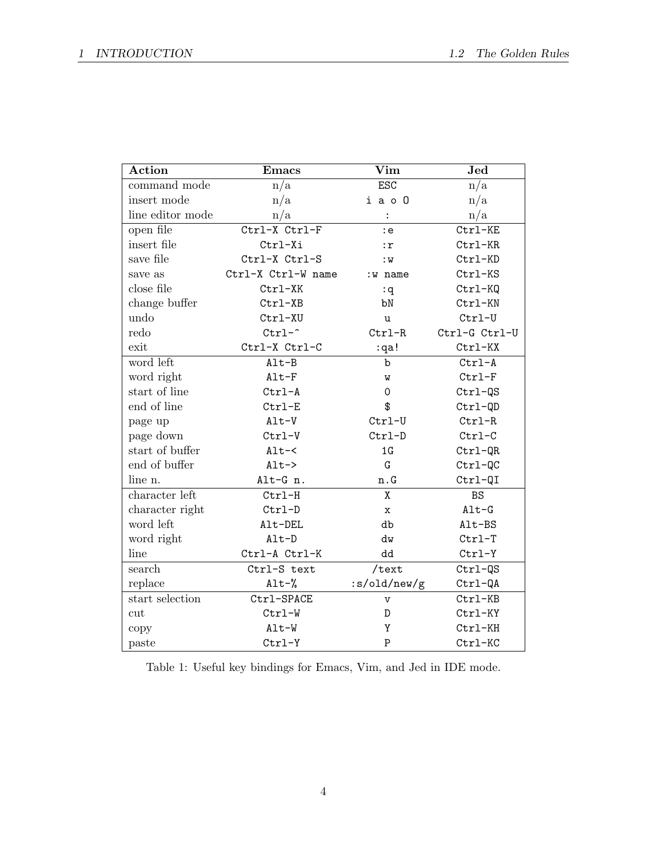| Action           | <b>Emacs</b>       | $\rm{Vim}$                | Jed           |
|------------------|--------------------|---------------------------|---------------|
| command mode     | n/a                | <b>ESC</b>                | n/a           |
| insert mode      | n/a                | i a o O                   | n/a           |
| line editor mode | n/a                | $\ddot{\cdot}$            | n/a           |
| open file        | Ctrl-X Ctrl-F      | : e                       | Ctrl-KE       |
| insert file      | Ctrl-Xi            | : r                       | Ctrl-KR       |
| save file        | Ctrl-X Ctrl-S      | :W                        | Ctrl-KD       |
| save as          | Ctrl-X Ctrl-W name | :w name                   | Ctrl-KS       |
| close file       | Ctrl-XK            | :q                        | $Ctrl-KQ$     |
| change buffer    | Ctrl-XB            | bN                        | Ctrl-KN       |
| undo             | Ctrl-XU            | u                         | $Ctrl-U$      |
| redo             | $Ctrl$ -^          | $Ctrl-R$                  | Ctrl-G Ctrl-U |
| exit             | Ctrl-X Ctrl-C      | :qa!                      | Ctrl-KX       |
| word left        | $Alt-B$            | $\mathbf b$               | $Ctrl-A$      |
| word right       | $Alt-F$            | M                         | $Ctrl-F$      |
| start of line    | $Ctrl-A$           | 0                         | Ctrl-QS       |
| end of line      | $Ctrl-E$           | \$                        | Ctrl-QD       |
| page up          | $Alt-V$            | $Ctrl-U$                  | $Ctrl-R$      |
| page down        | $Ctrl-V$           | $Ctrl-D$                  | $Ctrl-C$      |
| start of buffer  | $Alt - <$          | 1G                        | $Ctrl-QR$     |
| end of buffer    | $Alt->$            | G                         | $Ctrl-QC$     |
| line n.          | Alt-G n.           | $\mathbf n$ . $\mathbf G$ | Ctrl-QI       |
| character left   | $Ctrl-H$           | X                         | <b>BS</b>     |
| character right  | $Ctrl-D$           | x                         | $Alt-G$       |
| word left        | Alt-DEL            | db                        | Alt-BS        |
| word right       | $Alt-D$            | dw                        | $Ctrl-T$      |
| line             | Ctrl-A Ctrl-K      | dd                        | $Ctrl-Y$      |
| search           | Ctrl-S text        | /text                     | $Ctrl-QS$     |
| replace          | $\texttt{Alt-}\%$  | :s/old/new/g              | $Ctrl-QA$     |
| start selection  | Ctrl-SPACE         | $\mathbf v$               | Ctrl-KB       |
| cut              | Ctrl-W             | D                         | Ctrl-KY       |
| copy             | Alt-W              | Y                         | Ctrl-KH       |
| paste            | $Ctrl-Y$           | P                         | Ctrl-KC       |

<span id="page-5-0"></span>Table 1: Useful key bindings for Emacs, Vim, and Jed in IDE mode.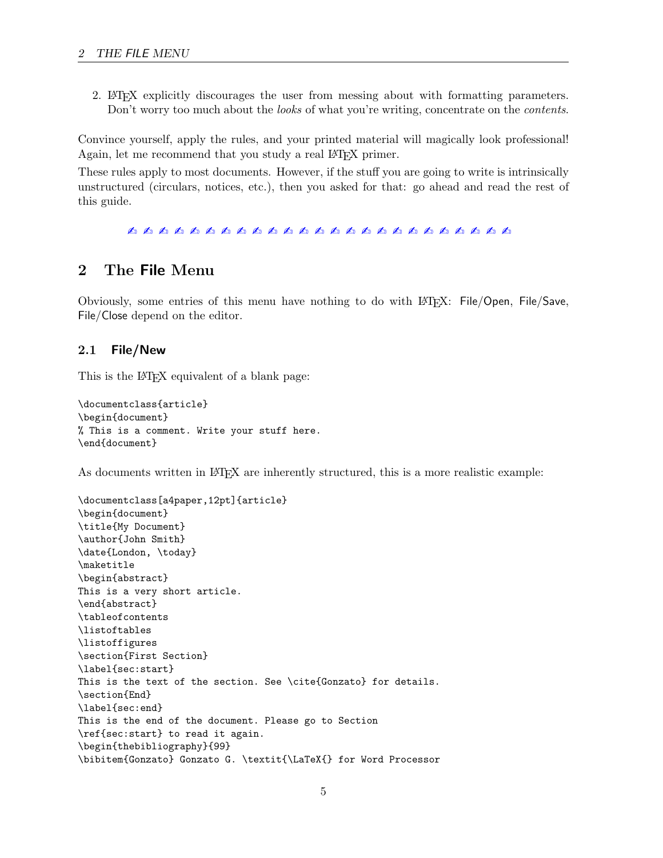2. LATEX explicitly discourages the user from messing about with formatting parameters. Don't worry too much about the *looks* of what you're writing, concentrate on the *contents*.

Convince yourself, apply the rules, and your printed material will magically look professional! Again, let me recommend that you study a real LATEX primer.

These rules apply to most documents. However, if the stuff you are going to write is intrinsically unstructured (circulars, notices, etc.), then you asked for that: go ahead and read the rest of this guide.

✍ ✍ ✍ ✍ ✍ ✍ ✍ ✍ ✍ ✍ ✍ ✍ ✍ ✍ ✍ ✍ ✍ ✍ ✍ ✍ ✍ ✍ ✍ ✍ ✍

## <span id="page-6-0"></span>2 The File Menu

Obviously, some entries of this menu have nothing to do with LATEX: File/Open, File/Save, File/Close depend on the editor.

#### <span id="page-6-1"></span>2.1 File/New

This is the LAT<sub>EX</sub> equivalent of a blank page:

```
\documentclass{article}
\begin{document}
% This is a comment. Write your stuff here.
\end{document}
```
As documents written in LAT<sub>EX</sub> are inherently structured, this is a more realistic example:

```
\documentclass[a4paper,12pt]{article}
\begin{document}
\title{My Document}
\author{John Smith}
\date{London, \today}
\maketitle
\begin{abstract}
This is a very short article.
\end{abstract}
\tableofcontents
\listoftables
\listoffigures
\section{First Section}
\label{sec:start}
This is the text of the section. See \cite{Gonzato} for details.
\section{End}
\label{sec:end}
This is the end of the document. Please go to Section
\ref{sec:start} to read it again.
\begin{thebibliography}{99}
\bibitem{Gonzato} Gonzato G. \textit{\LaTeX{} for Word Processor
```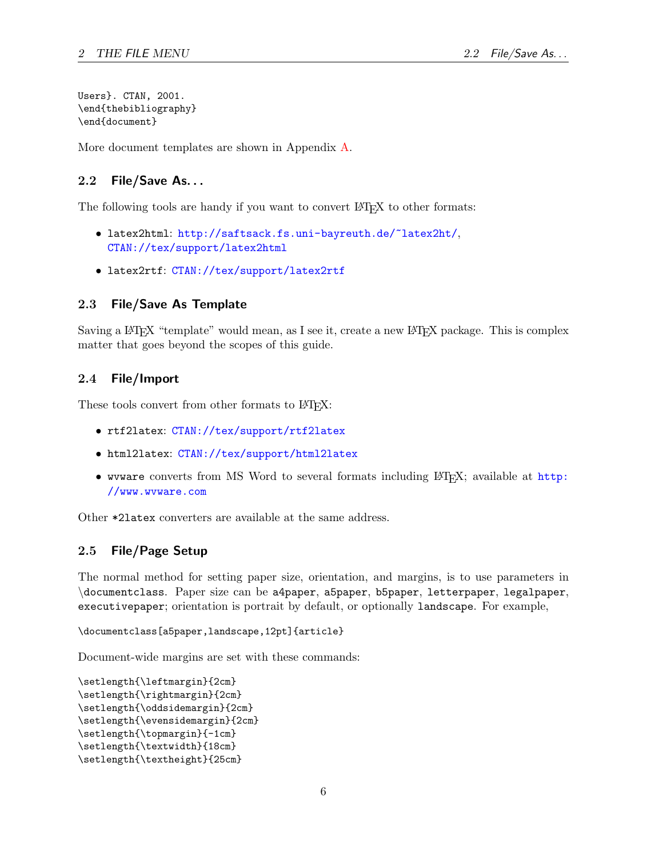Users}. CTAN, 2001. \end{thebibliography} \end{document}

More document templates are shown in Appendix [A](#page-34-0).

## <span id="page-7-0"></span>2.2 File/Save As. . .

The following tools are handy if you want to convert LAT<sub>EX</sub> to other formats:

- latex2html: <http://saftsack.fs.uni-bayreuth.de/~latex2ht/>, <CTAN://tex/support/latex2html>
- latex2rtf: <CTAN://tex/support/latex2rtf>

#### <span id="page-7-1"></span>2.3 File/Save As Template

Saving a LAT<sub>EX</sub> "template" would mean, as I see it, create a new LAT<sub>EX</sub> package. This is complex matter that goes beyond the scopes of this guide.

#### <span id="page-7-2"></span>2.4 File/Import

These tools convert from other formats to  $\text{Lip}X$ :

- rtf2latex: <CTAN://tex/support/rtf2latex>
- html2latex: <CTAN://tex/support/html2latex>
- wvware converts from MS Word to several formats including  $\mathbb{F}(\mathbb{F}^X)$ ; available at [http:](http://www.wvware.com) [//www.wvware.com](http://www.wvware.com)

Other \*2latex converters are available at the same address.

### <span id="page-7-3"></span>2.5 File/Page Setup

The normal method for setting paper size, orientation, and margins, is to use parameters in \documentclass. Paper size can be a4paper, a5paper, b5paper, letterpaper, legalpaper, executivepaper; orientation is portrait by default, or optionally landscape. For example,

\documentclass[a5paper,landscape,12pt]{article}

Document-wide margins are set with these commands:

```
\setlength{\leftmargin}{2cm}
\setlength{\rightmargin}{2cm}
\setlength{\oddsidemargin}{2cm}
\setlength{\evensidemargin}{2cm}
\setlength{\topmargin}{-1cm}
\setlength{\textwidth}{18cm}
\setlength{\textheight}{25cm}
```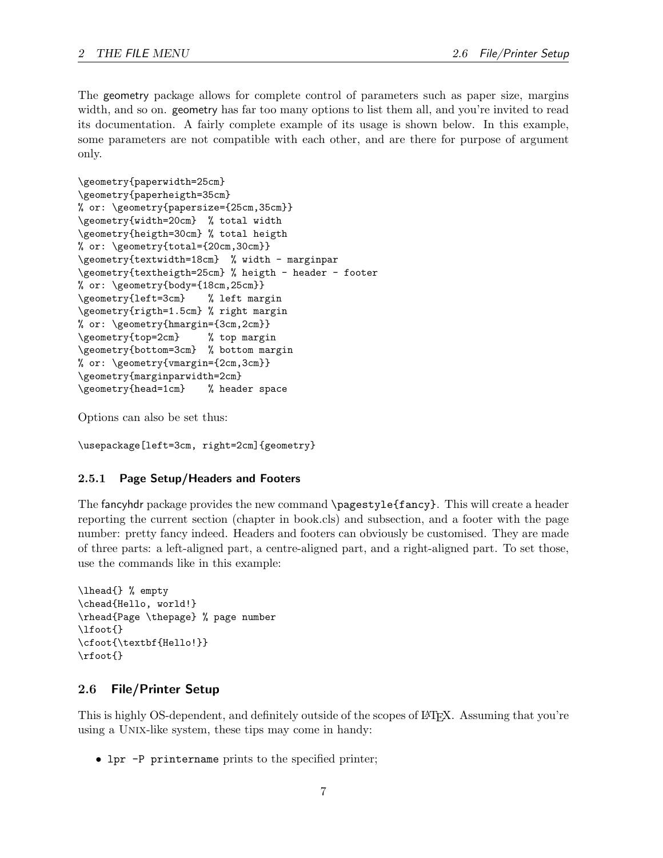The geometry package allows for complete control of parameters such as paper size, margins width, and so on. geometry has far too many options to list them all, and you're invited to read its documentation. A fairly complete example of its usage is shown below. In this example, some parameters are not compatible with each other, and are there for purpose of argument only.

```
\geometry{paperwidth=25cm}
\geometry{paperheigth=35cm}
% or: \geometry{papersize={25cm,35cm}}
\geometry{width=20cm} % total width
\geometry{heigth=30cm} % total heigth
% or: \geometry{total={20cm,30cm}}
\geometry{textwidth=18cm} % width - marginpar
\geometry{textheigth=25cm} % heigth - header - footer
% or: \geometry{body={18cm,25cm}}
\geometry{left=3cm} % left margin
\geometry{rigth=1.5cm} % right margin
% or: \geometry{hmargin={3cm,2cm}}
\geometry{top=2cm} % top margin
\geometry{bottom=3cm} % bottom margin
% or: \geometry{vmargin={2cm,3cm}}
\geometry{marginparwidth=2cm}
\geometry{head=1cm} % header space
```
Options can also be set thus:

\usepackage[left=3cm, right=2cm]{geometry}

#### <span id="page-8-0"></span>2.5.1 Page Setup/Headers and Footers

The fancyhdr package provides the new command \pagestyle{fancy}. This will create a header reporting the current section (chapter in book.cls) and subsection, and a footer with the page number: pretty fancy indeed. Headers and footers can obviously be customised. They are made of three parts: a left-aligned part, a centre-aligned part, and a right-aligned part. To set those, use the commands like in this example:

```
\lhead{} % empty
\chead{Hello, world!}
\rhead{Page \thepage} % page number
\lfoot{}
\cfoot{\textbf{Hello!}}
\rfoot{}
```
#### <span id="page-8-1"></span>2.6 File/Printer Setup

This is highly OS-dependent, and definitely outside of the scopes of LATEX. Assuming that you're using a UNIX-like system, these tips may come in handy:

• lpr -P printername prints to the specified printer;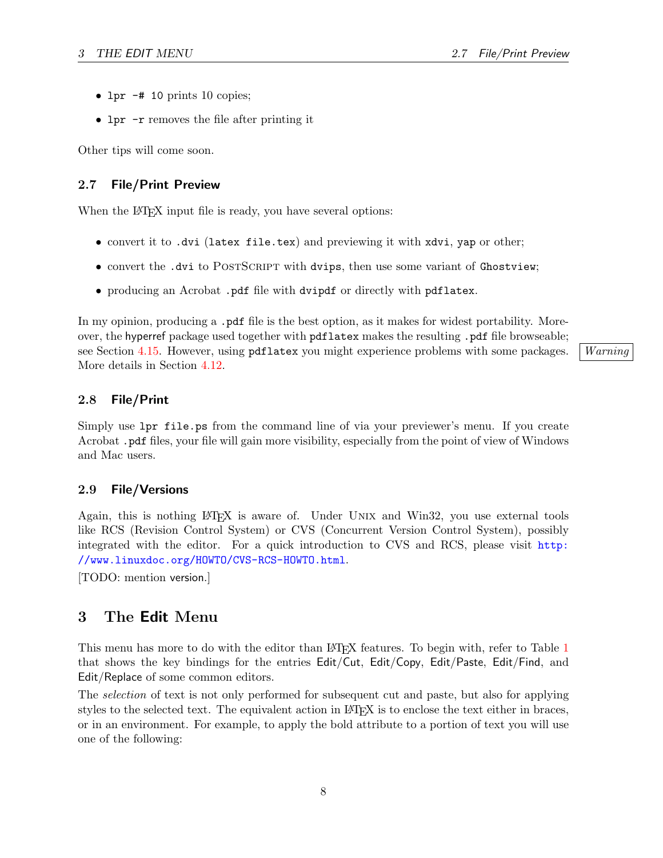- lpr  $-$ # 10 prints 10 copies;
- lpr -r removes the file after printing it

Other tips will come soon.

### <span id="page-9-0"></span>2.7 File/Print Preview

When the LAT<sub>EX</sub> input file is ready, you have several options:

- convert it to .dvi (latex file.tex) and previewing it with xdvi, yap or other;
- convert the .dvi to POSTSCRIPT with dvips, then use some variant of Ghostview;
- producing an Acrobat .pdf file with dvipdf or directly with pdflatex.

In my opinion, producing a .pdf file is the best option, as it makes for widest portability. Moreover, the hyperref package used together with pdflatex makes the resulting .pdf file browseable; see Section [4.15.](#page-19-1) However, using pdflatex you might experience problems with some packages. | Warning More details in Section [4.12](#page-16-2).

#### <span id="page-9-1"></span>2.8 File/Print

Simply use lpr file.ps from the command line of via your previewer's menu. If you create Acrobat .pdf files, your file will gain more visibility, especially from the point of view of Windows and Mac users.

#### <span id="page-9-2"></span>2.9 File/Versions

Again, this is nothing LATEX is aware of. Under Unix and Win32, you use external tools like RCS (Revision Control System) or CVS (Concurrent Version Control System), possibly integrated with the editor. For a quick introduction to CVS and RCS, please visit [http:](http://www.linuxdoc.org/HOWTO/CVS-RCS-HOWTO.html) [//www.linuxdoc.org/HOWTO/CVS-RCS-HOWTO.html](http://www.linuxdoc.org/HOWTO/CVS-RCS-HOWTO.html).

[TODO: mention version.]

## <span id="page-9-3"></span>3 The Edit Menu

This menu has more to do with the editor than LAT<sub>EX</sub> features. To begin with, refer to Table [1](#page-5-0) that shows the key bindings for the entries Edit/Cut, Edit/Copy, Edit/Paste, Edit/Find, and Edit/Replace of some common editors.

The selection of text is not only performed for subsequent cut and paste, but also for applying styles to the selected text. The equivalent action in LAT<sub>EX</sub> is to enclose the text either in braces, or in an environment. For example, to apply the bold attribute to a portion of text you will use one of the following: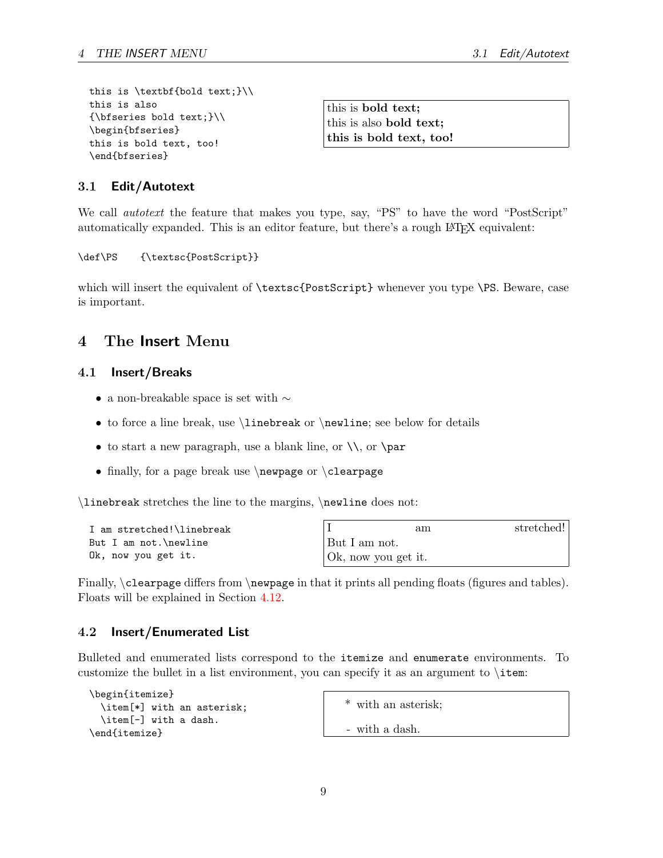```
this is \textbf{bold text;}\\
this is also
{\bf f}\ f{\bf s} bold text; {\bf h}\begin{bfseries}
this is bold text, too!
\end{bfseries}
```
this is bold text; this is also bold text; this is bold text, too!

### <span id="page-10-0"></span>3.1 Edit/Autotext

We call *autotext* the feature that makes you type, say, "PS" to have the word "PostScript" automatically expanded. This is an editor feature, but there's a rough LAT<sub>EX</sub> equivalent:

\def\PS {\textsc{PostScript}}

which will insert the equivalent of \textsc{PostScript} whenever you type \PS. Beware, case is important.

## <span id="page-10-1"></span>4 The Insert Menu

#### <span id="page-10-2"></span>4.1 Insert/Breaks

- $\bullet\,$ a non-breakable space is set with  $\sim\,$
- to force a line break, use \linebreak or \newline; see below for details
- to start a new paragraph, use a blank line, or  $\setminus$ , or  $\parbox{0.7in}{\text{par}}$
- finally, for a page break use  $\neq$  or  $\c$  learpage

\linebreak stretches the line to the margins, \newline does not:

| I am stretched!\linebreak |                     | am | stretched! |
|---------------------------|---------------------|----|------------|
| But I am not.\newline     | But I am not.       |    |            |
| Ok, now you get it.       | Ok, now you get it. |    |            |

Finally,  $\clearpage$  differs from  $\newcommand{\nn}{{\n 1} n}$  rewpage in that it prints all pending floats (figures and tables). Floats will be explained in Section [4.12.](#page-16-2)

#### <span id="page-10-3"></span>4.2 Insert/Enumerated List

Bulleted and enumerated lists correspond to the itemize and enumerate environments. To customize the bullet in a list environment, you can specify it as an argument to \item:

```
\begin{itemize}
  \item[*] with an asterisk;
  \item[-] with a dash.
\end{itemize}
```
\* with an asterisk;

- with a dash.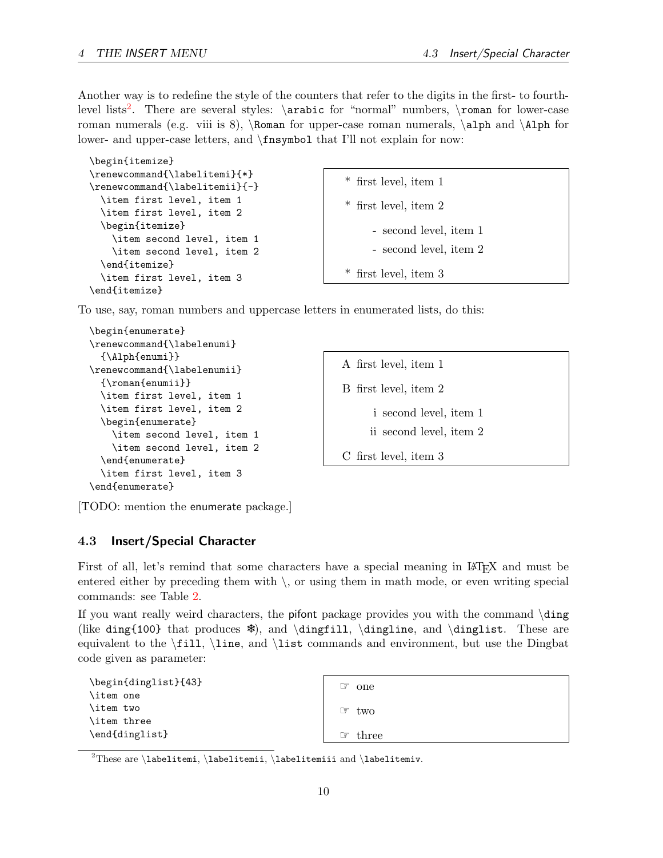Another way is to redefine the style of the counters that refer to the digits in the first- to fourth-level lists<sup>[2](#page-11-1)</sup>. There are several styles: \arabic for "normal" numbers, \roman for lower-case roman numerals (e.g. viii is 8), \Roman for upper-case roman numerals,  $\alpha \lambda \lambda$ lower- and upper-case letters, and \fnsymbol that I'll not explain for now:

```
\begin{itemize}
\renewcommand{\labelitemi}{*}
\renewcommand{\labelitemii}{-}
  \item first level, item 1
  \item first level, item 2
  \begin{itemize}
    \item second level, item 1
    \item second level, item 2
  \end{itemize}
  \item first level, item 3
\end{itemize}
```
\* first level, item 1

\* first level, item 2

- second level, item 1

```
- second level, item 2
```
\* first level, item 3

To use, say, roman numbers and uppercase letters in enumerated lists, do this:

```
\begin{enumerate}
\renewcommand{\labelenumi}
  {\Alph{enumi}}
\renewcommand{\labelenumii}
  {\roman{enumii}}
  \item first level, item 1
  \item first level, item 2
  \begin{enumerate}
    \item second level, item 1
    \item second level, item 2
  \end{enumerate}
  \item first level, item 3
\end{enumerate}
```
A first level, item 1 B first level, item 2 i second level, item 1 ii second level, item 2 C first level, item 3

[TODO: mention the enumerate package.]

#### <span id="page-11-0"></span>4.3 Insert/Special Character

First of all, let's remind that some characters have a special meaning in LAT<sub>EX</sub> and must be entered either by preceding them with  $\setminus$ , or using them in math mode, or even writing special commands: see Table [2](#page-12-0).

If you want really weird characters, the pifont package provides you with the command \ding (like ding{100} that produces ❄), and \dingfill, \dingline, and \dinglist. These are equivalent to the \fill, \line, and \list commands and environment, but use the Dingbat code given as parameter:

| \begin{dinglist}{43} |  |  |
|----------------------|--|--|
| \item one            |  |  |
| \item two            |  |  |
| \item three          |  |  |
| \end{dinglist}       |  |  |

| ඏ one   |
|---------|
| ෙ two   |
| ☞ three |

<span id="page-11-1"></span><sup>2</sup>These are \labelitemi, \labelitemii, \labelitemiui and \labelitemiv.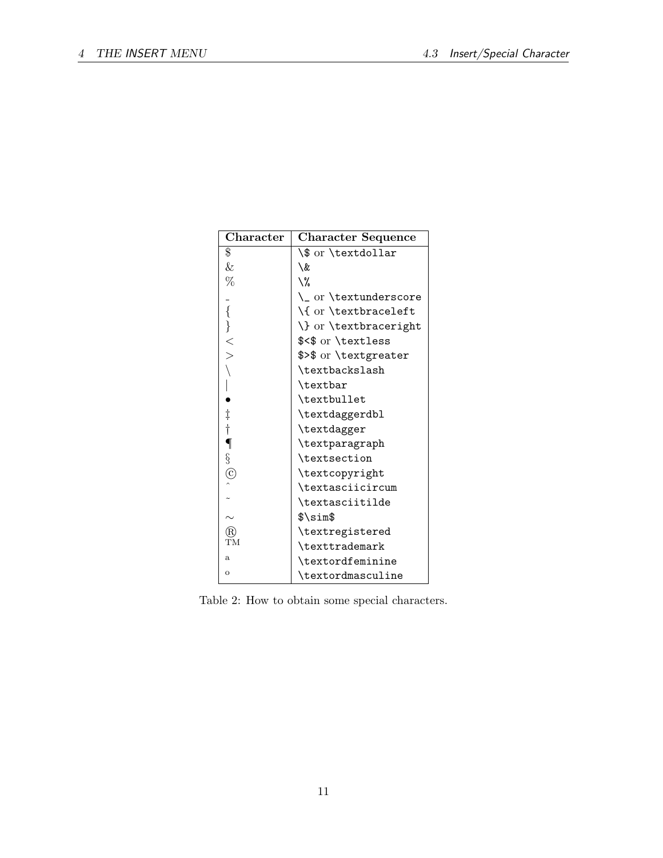| Character                 | <b>Character Sequence</b> |  |
|---------------------------|---------------------------|--|
| \$                        | \\$ or \textdollar        |  |
| $\&$                      | \&                        |  |
| %                         | \%                        |  |
|                           | \_ or \textunderscore     |  |
| { \} < >                  | \{ or \textbraceleft      |  |
|                           | \} or \textbraceright     |  |
|                           | \$<\$ or \textless        |  |
|                           | \$>\$ or \textgreater     |  |
|                           | \textbackslash            |  |
|                           | \textbar                  |  |
|                           | \textbullet               |  |
|                           | \textdaggerdbl            |  |
| $\frac{1}{1}$             | \textdagger               |  |
| $\overline{\P}$           | \textparagraph            |  |
|                           | \textsection              |  |
| $rac{S}{C}$               | \textcopyright            |  |
|                           | \textasciicircum          |  |
|                           | \textasciitilde           |  |
|                           | \$\sim\$                  |  |
| R                         | \textregistered           |  |
| $\widecheck{\mathrm{TM}}$ | \texttrademark            |  |
| $\mathbf{a}$              | \textordfeminine          |  |
| $\circ$                   | \textordmasculine         |  |

<span id="page-12-0"></span>Table 2: How to obtain some special characters.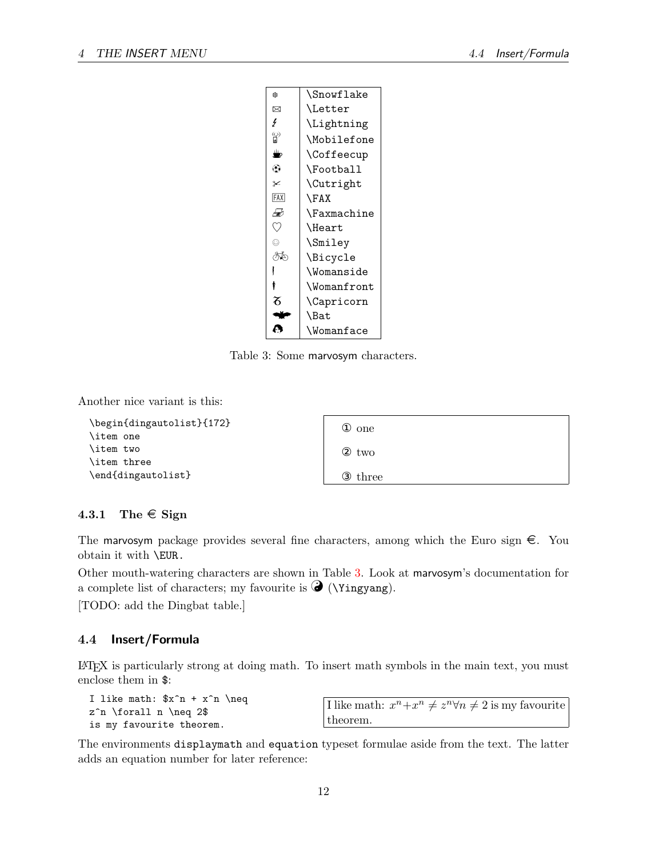| sk.  | \Snowflake         |
|------|--------------------|
| ⊠    | \Letter            |
| Ł    | \Lightning         |
| ပ္ပူ | \Mobilefone        |
| ≝    | <b>\Coffeecup</b>  |
| ⊛    | \Football          |
| ⊁    | \Cutright          |
| FAX  | \FAX               |
| Ð    | <b>\Faxmachine</b> |
| V)   | \Heart             |
| O    | \Smiley            |
| ∕ਨ∏ਨ | \Bicycle           |
|      | \Womanside         |
|      | \Womanfront        |
| ӽ    | \Capricorn         |
|      | \Bat               |
|      | \Womanface         |

<span id="page-13-2"></span>Table 3: Some marvosym characters.

Another nice variant is this:

| \begin{dingautolist}{172} | $\Phi$ one |
|---------------------------|------------|
| \item one                 |            |
| \item two                 | 2<br>two   |
| \item three               |            |
| \end{dingautolist}        | 3<br>three |

#### <span id="page-13-0"></span>4.3.1 The  $\in$  Sign

The marvosym package provides several fine characters, among which the Euro sign  $\epsilon$ . You obtain it with \EUR.

Other mouth-watering characters are shown in Table [3](#page-13-2). Look at marvosym's documentation for a complete list of characters; my favourite is  $\bigcirc$  (\Yingyang).

[TODO: add the Dingbat table.]

## <span id="page-13-1"></span>4.4 Insert/Formula

LATEX is particularly strong at doing math. To insert math symbols in the main text, you must enclose them in \$:

I like math:  $x^n + x^n \neq q$  $z^n \forall n \neq 2\$ is my favourite theorem.

I like math:  $x^n + x^n \neq z^n \forall n \neq 2$  is my favourite theorem.

The environments displaymath and equation typeset formulae aside from the text. The latter adds an equation number for later reference: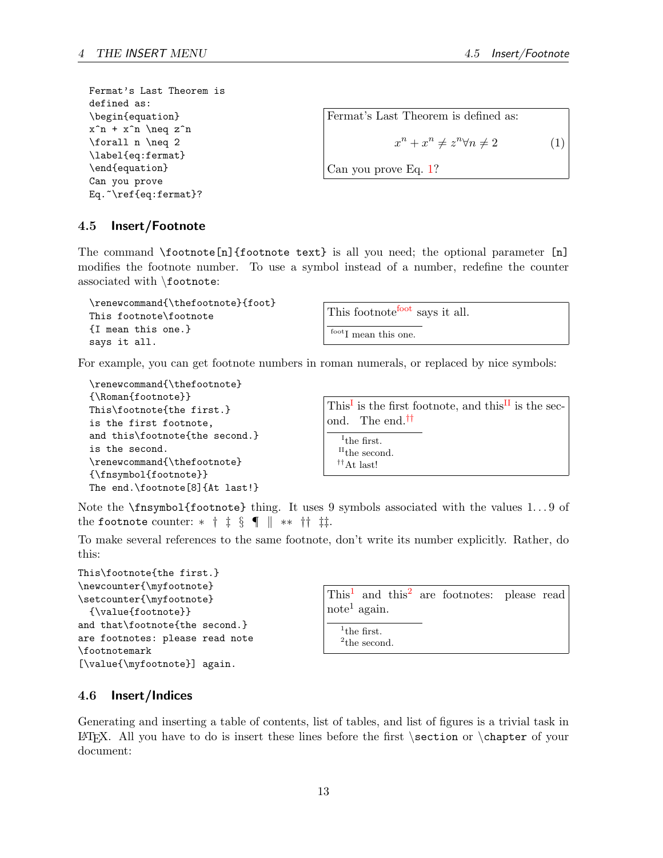Fermat's Last Theorem is defined as: \begin{equation}  $x^n + x^n \neq z^n$ \forall n \neq 2 \label{eq:fermat} \end{equation} Can you prove Eq.~\ref{eq:fermat}?

<span id="page-14-2"></span>Fermat's Last Theorem is defined as:  
\n
$$
x^{n} + x^{n} \neq z^{n} \forall n \neq 2
$$
\n(1)  
\nCan you prove Eq. 1?

### <span id="page-14-0"></span>4.5 Insert/Footnote

The command  $\footnotesize{\text{footnote}}$  [n]{footnote text} is all you need; the optional parameter [n] modifies the footnote number. To use a symbol instead of a number, redefine the counter associated with \footnote:

```
\renewcommand{\thefootnote}{foot}
This footnote\footnote
{I mean this one.}
says it all.
```
This [foot](#page-14-3)note<sup>foot</sup> says it all.

<span id="page-14-3"></span> $\mathrm{^{foot}I}$  mean this one.

For example, you can get footnote numbers in roman numerals, or replaced by nice symbols:

```
\renewcommand{\thefootnote}
{\Roman{footnote}}
This\footnote{the first.}
is the first footnote,
and this\footnote{the second.}
is the second.
\renewcommand{\thefootnote}
{\fnsymbol{footnote}}
The end.\footnote[8]{At last!}
```
<span id="page-14-6"></span><span id="page-14-5"></span><span id="page-14-4"></span>This<sup>[I](#page-14-4)</sup> is the first footnote, and this<sup>[II](#page-14-5)</sup> is the second. The end.[††](#page-14-6) <sup>I</sup>the first. <sup>II</sup>the second. ††At last!

Note the **\fnsymbol{footnote}** thing. It uses 9 symbols associated with the values 1...9 of the footnote counter:  $*$  †  $\frac{1}{2}$  § ¶  $\parallel$  \*\* ††  $\frac{1}{2}$ .

To make several references to the same footnote, don't write its number explicitly. Rather, do this:

```
This\footnote{the first.}
\newcounter{\myfootnote}
\setcounter{\myfootnote}
  {\value{footnote}}
and that\footnote{the second.}
are footnotes: please read note
\footnotemark
[\value{\myfootnote}] again.
```

|                          |  | $This1$ and this <sup>2</sup> are footnotes: please read |  |
|--------------------------|--|----------------------------------------------------------|--|
| note <sup>1</sup> again. |  |                                                          |  |

<span id="page-14-8"></span><span id="page-14-7"></span><sup>1</sup>the first. <sup>2</sup>the second.

## <span id="page-14-1"></span>4.6 Insert/Indices

Generating and inserting a table of contents, list of tables, and list of figures is a trivial task in LATEX. All you have to do is insert these lines before the first  $\setminus$  section or  $\setminus$  chapter of your document: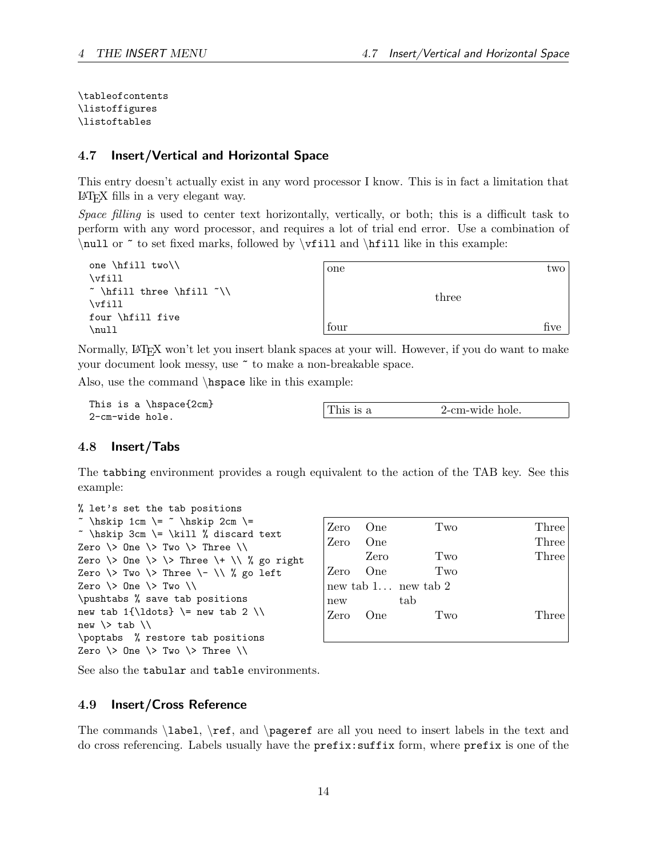\tableofcontents \listoffigures \listoftables

#### <span id="page-15-0"></span>4.7 Insert/Vertical and Horizontal Space

This entry doesn't actually exist in any word processor I know. This is in fact a limitation that LATEX fills in a very elegant way.

Space filling is used to center text horizontally, vertically, or both; this is a difficult task to perform with any word processor, and requires a lot of trial end error. Use a combination of  $\null$  or  $\epsilon$  to set fixed marks, followed by  $\triangleright$  ill and  $\hbox{fill}$  like in this example:

| one $\hbox{fill two}$<br>\vfill            | one  |       | two  |
|--------------------------------------------|------|-------|------|
| $\sim \hbox{hfill three}$<br>$\forall$ ill |      | three |      |
| four \hfill five<br>\null                  | four |       | five |

Normally, LATEX won't let you insert blank spaces at your will. However, if you do want to make your document look messy, use ~ to make a non-breakable space.

Also, use the command \hspace like in this example:

```
This is a \hspace{2cm}
2-cm-wide hole.
```

| 2-cm-wide hole.<br>This is a |
|------------------------------|
|------------------------------|

#### <span id="page-15-1"></span>4.8 Insert/Tabs

The tabbing environment provides a rough equivalent to the action of the TAB key. See this example:

| % let's set the tab positions                         |
|-------------------------------------------------------|
| ~ \hskip 1cm \= ~ \hskip 2cm \=                       |
| ~ \hskip 3cm \= \kill % discard text                  |
| Zero $\>$ One $\>$ Two $\>$ Three $\>$                |
| Zero $\&$ One $\&$ $\&$ Three $\&$ $\&$ $\&$ go right |
| Zero $\&$ Two $\&$ Three $\&$ $\&$ $\&$ go left       |
| Zero $\>$ One $\>$ Two $\>$                           |
| \pushtabs % save tab positions                        |
| new tab $1{\ldots}$ \= new tab 2 \\                   |
| new $\&$ tab $\&$                                     |
| \poptabs % restore tab positions                      |
| Zero $\>$ One $\>$ Two $\>$ Three $\>$                |

| Zero | <b>One</b> | Two                 | Three |
|------|------------|---------------------|-------|
| Zero | One        |                     | Three |
|      | Zero       | Two                 | Three |
| Zero | One        | Two                 |       |
|      |            | new tab 1 new tab 2 |       |
| new  |            | tab                 |       |
| Zero | One        | Two                 | Three |
|      |            |                     |       |

See also the tabular and table environments.

## <span id="page-15-2"></span>4.9 Insert/Cross Reference

The commands \label, \ref, and \pageref are all you need to insert labels in the text and do cross referencing. Labels usually have the prefix:suffix form, where prefix is one of the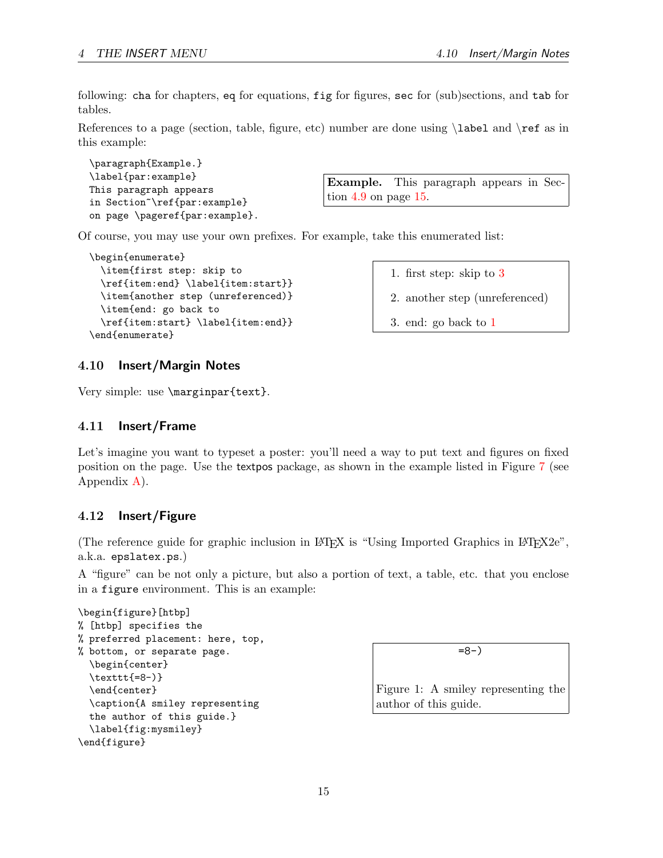following: cha for chapters, eq for equations, fig for figures, sec for (sub)sections, and tab for tables.

References to a page (section, table, figure, etc) number are done using  $\lambda$  and  $\ref$  as in this example:

```
\paragraph{Example.}
\label{par:example}
This paragraph appears
in Section~\ref{par:example}
on page \pageref{par:example}.
```
<span id="page-16-4"></span>Example. This paragraph appears in Section [4.9](#page-16-4) on page [15.](#page-16-4)

Of course, you may use your own prefixes. For example, take this enumerated list:

```
\begin{enumerate}
 \item{first step: skip to
  \ref{item:end} \label{item:start}}
  \item{another step (unreferenced)}
 \item{end: go back to
  \ref{item:start} \label{item:end}}
\end{enumerate}
```
<span id="page-16-6"></span>1. first step: skip to [3](#page-16-5)

- 2. another step (unreferenced)
- <span id="page-16-5"></span>3. end: go back to [1](#page-16-6)

## <span id="page-16-0"></span>4.10 Insert/Margin Notes

Very simple: use \marginpar{text}.

### <span id="page-16-1"></span>4.11 Insert/Frame

Let's imagine you want to typeset a poster: you'll need a way to put text and figures on fixed position on the page. Use the textpos package, as shown in the example listed in Figure [7](#page-37-0) (see Appendix [A](#page-34-0)).

## <span id="page-16-2"></span>4.12 Insert/Figure

(The reference guide for graphic inclusion in LAT<sub>EX</sub> is "Using Imported Graphics in LAT<sub>E</sub>X2e", a.k.a. epslatex.ps.)

A "figure" can be not only a picture, but also a portion of text, a table, etc. that you enclose in a figure environment. This is an example:

```
\begin{figure}[htbp]
% [htbp] specifies the
% preferred placement: here, top,
% bottom, or separate page.
  \begin{center}
  \texttt{=8-)}
  \end{center}
  \caption{A smiley representing
  the author of this guide.}
  \label{fig:mysmiley}
\end{figure}
```
<span id="page-16-3"></span>=8-)

Figure 1: A smiley representing the author of this guide.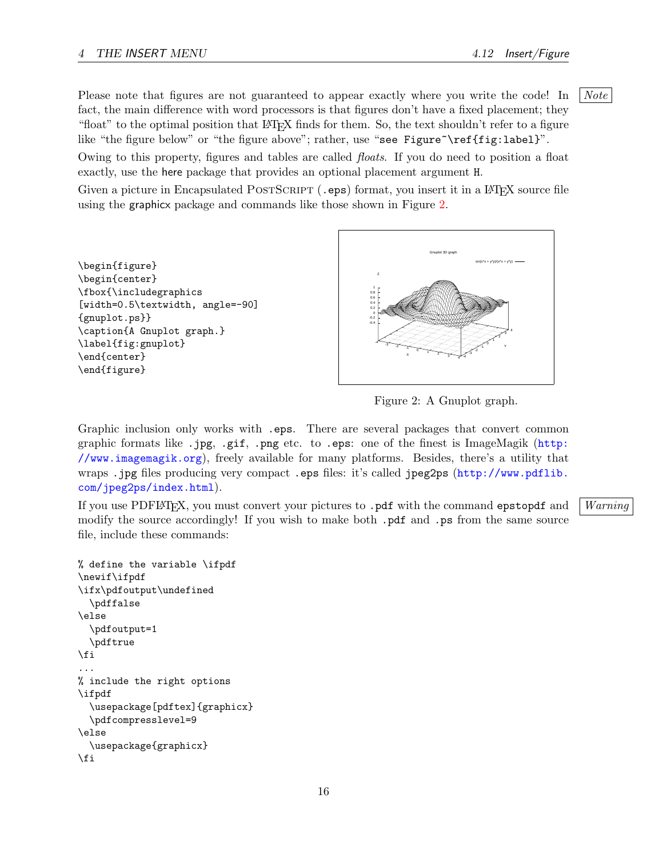Please note that figures are not guaranteed to appear exactly where you write the code! In  $\vert$  Note fact, the main difference with word processors is that figures don't have a fixed placement; they "float" to the optimal position that LATEX finds for them. So, the text shouldn't refer to a figure like "the figure below" or "the figure above"; rather, use "see Figure"\ref{fig:label}".

Owing to this property, figures and tables are called floats. If you do need to position a float exactly, use the here package that provides an optional placement argument H.

Given a picture in Encapsulated POSTSCRIPT (.eps) format, you insert it in a L<sup>AT</sup>FX source file using the graphicx package and commands like those shown in Figure [2](#page-17-0).





<span id="page-17-0"></span>Figure 2: A Gnuplot graph.

Graphic inclusion only works with .eps. There are several packages that convert common graphic formats like .jpg, .gif, .png etc. to .eps: one of the finest is ImageMagik ([http:](http://www.imagemagik.org) [//www.imagemagik.org](http://www.imagemagik.org)), freely available for many platforms. Besides, there's a utility that wraps .jpg files producing very compact .eps files: it's called jpeg2ps ([http://www.pdflib.](http://www.pdflib.com/jpeg2ps/index.html) [com/jpeg2ps/index.html](http://www.pdflib.com/jpeg2ps/index.html)).

If you use PDFLATEX, you must convert your pictures to  $.$  pdf with the command epstopdf and Warning modify the source accordingly! If you wish to make both .pdf and .ps from the same source file, include these commands:

```
% define the variable \ifpdf
\newif\ifpdf
\ifx\pdfoutput\undefined
  \pdffalse
\else
  \pdfoutput=1
  \pdftrue
\fi
...
% include the right options
\ifpdf
  \usepackage[pdftex]{graphicx}
  \pdfcompresslevel=9
\else
  \usepackage{graphicx}
\fi
```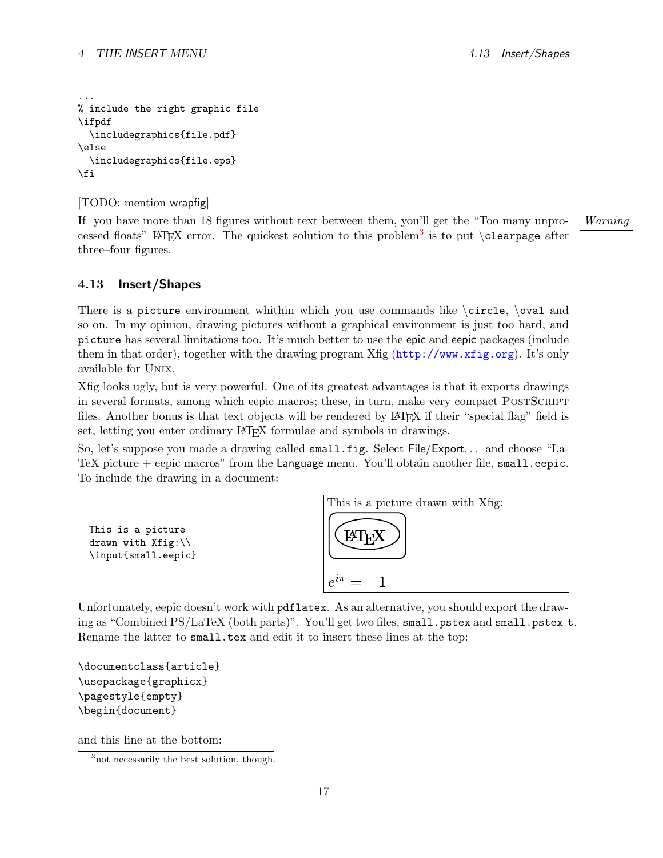```
...
% include the right graphic file
\ifpdf
  \includegraphics{file.pdf}
\else
  \includegraphics{file.eps}
\fi
```
[TODO: mention wrapfig]

If you have more than 18 figures without text between them, you'll get the "Too many unpro- Warning cessed floats" LAT<sub>E</sub>X error. The quickest solution to this problem<sup>[3](#page-18-1)</sup> is to put \clearpage after three–four figures.

#### <span id="page-18-0"></span>4.13 Insert/Shapes

There is a picture environment whithin which you use commands like  $\circle$ ,  $\oval$  and so on. In my opinion, drawing pictures without a graphical environment is just too hard, and picture has several limitations too. It's much better to use the epic and eepic packages (include them in that order), together with the drawing program Xfig (<http://www.xfig.org>). It's only available for Unix.

Xfig looks ugly, but is very powerful. One of its greatest advantages is that it exports drawings in several formats, among which eepic macros; these, in turn, make very compact POSTSCRIPT files. Another bonus is that text objects will be rendered by LAT<sub>EX</sub> if their "special flag" field is set, letting you enter ordinary LAT<sub>EX</sub> formulae and symbols in drawings.

So, let's suppose you made a drawing called small.fig. Select File/Export. . . and choose "La-TeX picture + eepic macros" from the Language menu. You'll obtain another file, small.eepic. To include the drawing in a document:



Unfortunately, eepic doesn't work with pdflatex. As an alternative, you should export the drawing as "Combined PS/LaTeX (both parts)". You'll get two files, small.pstex and small.pstex\_t. Rename the latter to small.tex and edit it to insert these lines at the top:

```
\documentclass{article}
\usepackage{graphicx}
\pagestyle{empty}
\begin{document}
```
and this line at the bottom:

<span id="page-18-1"></span><sup>&</sup>lt;sup>3</sup> not necessarily the best solution, though.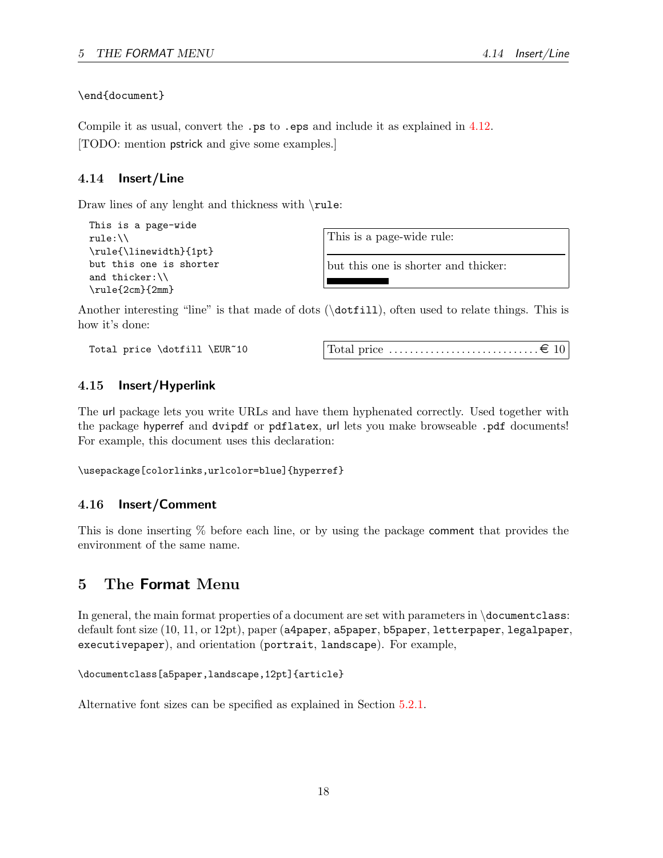\end{document}

Compile it as usual, convert the .**ps** to .**eps** and include it as explained in [4.12.](#page-16-2) [TODO: mention pstrick and give some examples.]

## <span id="page-19-0"></span>4.14 Insert/Line

Draw lines of any lenght and thickness with \rule:

```
This is a page-wide
rule:\\
\rule{\linewidth}{1pt}
but this one is shorter
and thicker:\\
\rule{2cm}{2mm}
```
This is a page-wide rule:

but this one is shorter and thicker:

Another interesting "line" is that made of dots (\dotfill), often used to relate things. This is how it's done:

Total price \dotfill \EUR~10 Total price . . . . . . . . . . . . . . . . . . . . . . . . . . . . . ¤ 10

## <span id="page-19-1"></span>4.15 Insert/Hyperlink

The url package lets you write URLs and have them hyphenated correctly. Used together with the package hyperref and dvipdf or pdflatex, url lets you make browseable .pdf documents! For example, this document uses this declaration:

\usepackage[colorlinks,urlcolor=blue]{hyperref}

## <span id="page-19-2"></span>4.16 Insert/Comment

This is done inserting % before each line, or by using the package comment that provides the environment of the same name.

## <span id="page-19-3"></span>5 The Format Menu

In general, the main format properties of a document are set with parameters in \documentclass: default font size (10, 11, or 12pt), paper (a4paper, a5paper, b5paper, letterpaper, legalpaper, executivepaper), and orientation (portrait, landscape). For example,

```
\documentclass[a5paper,landscape,12pt]{article}
```
Alternative font sizes can be specified as explained in Section [5.2.1](#page-21-0).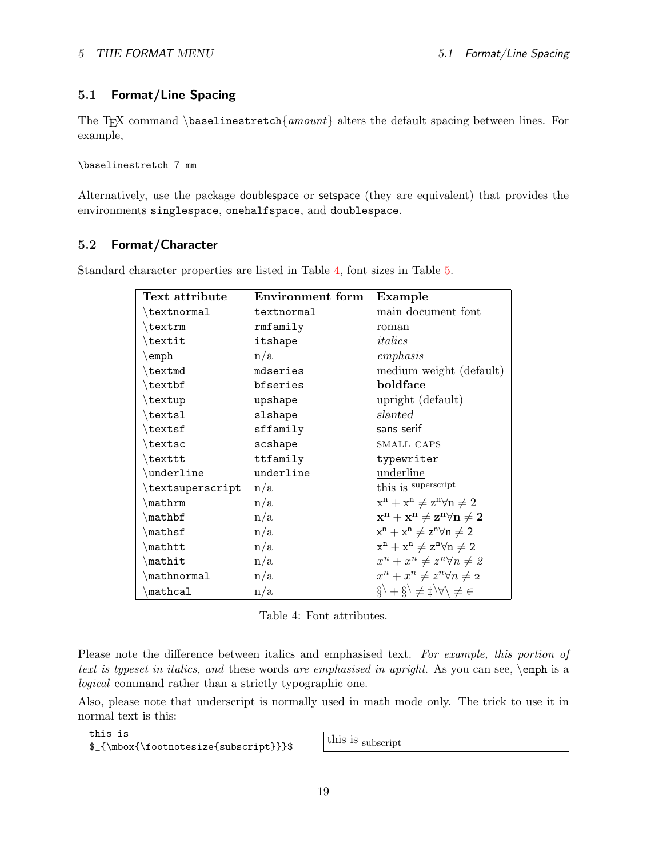## <span id="page-20-0"></span>5.1 Format/Line Spacing

The T<sub>E</sub>X command \baselinestretch{amount} alters the default spacing between lines. For example,

\baselinestretch 7 mm

Alternatively, use the package doublespace or setspace (they are equivalent) that provides the environments singlespace, onehalfspace, and doublespace.

## <span id="page-20-1"></span>5.2 Format/Character

| Text attribute               | Environment form | Example                                                                                                          |
|------------------------------|------------------|------------------------------------------------------------------------------------------------------------------|
| $\texttt{textnormal}$        | textnormal       | main document font                                                                                               |
| $\texttt{textrm}$            | rmfamily         | roman                                                                                                            |
| $\texttt{textit}$            | itshape          | italics                                                                                                          |
| $\text{\scriptsize\char'42}$ | n/a              | emphasis                                                                                                         |
| \textmd                      | mdseries         | medium weight (default)                                                                                          |
| \textbf                      | bfseries         | boldface                                                                                                         |
| $\text{textup}$              | upshape          | upright (default)                                                                                                |
| $\texttt{textsl}$            | slshape          | slanted                                                                                                          |
| $\text{textsf}$              | sffamily         | sans serif                                                                                                       |
| \textsc                      | scshape          | SMALL CAPS                                                                                                       |
| \texttt                      | ttfamily         | typewriter                                                                                                       |
| $\lq$ underline              | underline        | underline                                                                                                        |
| textsuperscript              | n/a              | this is superscript                                                                                              |
| $\n{\mathbf{m}}$             | n/a              | $x^n + x^n \neq z^n \forall n \neq 2$                                                                            |
| $\mathcal{L}$                | n/a              | $\mathbf{x}^{\mathbf{n}}+\mathbf{x}^{\mathbf{n}} \neq \mathbf{z}^{\mathbf{n}}\forall \mathbf{n} \neq \mathbf{2}$ |
| $\mathbf{$                   | n/a              | $x^n + x^n \neq z^n \forall n \neq 2$                                                                            |
| mathtt                       | n/a              | $x^n + x^n \neq z^n \forall n \neq 2$                                                                            |
| mathit                       | n/a              | $x^n + x^n \neq z^n \forall n \neq 2$                                                                            |
| $\mathbb{$                   | n/a              | $x^n + x^n \neq z^n \forall n \neq 2$                                                                            |
| mathcal                      | n/a              | $\hat{g}$ + $\hat{g}$ $\neq$ $\downarrow$ $\forall$ $\neq$ $\in$                                                 |

Standard character properties are listed in Table [4,](#page-20-2) font sizes in Table [5](#page-21-2).

<span id="page-20-2"></span>Table 4: Font attributes.

Please note the difference between italics and emphasised text. For example, this portion of text is typeset in italics, and these words are emphasised in upright. As you can see,  $\epsilon$  is a logical command rather than a strictly typographic one.

Also, please note that underscript is normally used in math mode only. The trick to use it in normal text is this:

this is this is<br>\$\_{\mbox{\footnotesize{subscript}}}\$ this is subscript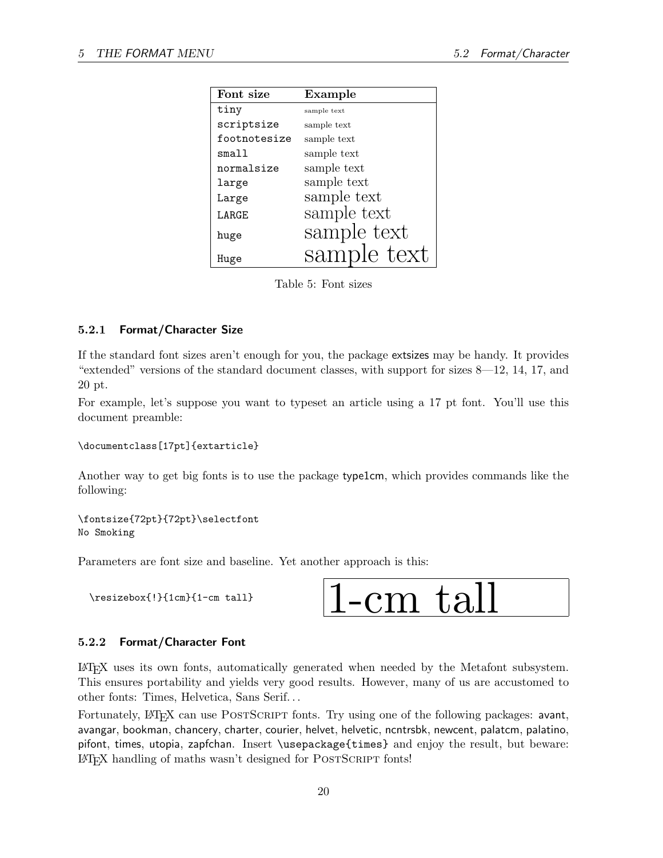| Font size    | Example     |  |  |
|--------------|-------------|--|--|
| tiny         | sample text |  |  |
| scriptsize   | sample text |  |  |
| footnotesize | sample text |  |  |
| small        | sample text |  |  |
| normalsize   | sample text |  |  |
| large        | sample text |  |  |
| Large        | sample text |  |  |
| LARGE        | sample text |  |  |
| huge         | sample text |  |  |
| Huge         | sample text |  |  |

<span id="page-21-2"></span>Table 5: Font sizes

#### <span id="page-21-0"></span>5.2.1 Format/Character Size

If the standard font sizes aren't enough for you, the package extsizes may be handy. It provides "extended" versions of the standard document classes, with support for sizes 8—12, 14, 17, and 20 pt.

For example, let's suppose you want to typeset an article using a 17 pt font. You'll use this document preamble:

#### \documentclass[17pt]{extarticle}

Another way to get big fonts is to use the package type1cm, which provides commands like the following:

\fontsize{72pt}{72pt}\selectfont No Smoking

Parameters are font size and baseline. Yet another approach is this:



#### <span id="page-21-1"></span>5.2.2 Format/Character Font

LATEX uses its own fonts, automatically generated when needed by the Metafont subsystem. This ensures portability and yields very good results. However, many of us are accustomed to other fonts: Times, Helvetica, Sans Serif. . .

Fortunately, LATEX can use POSTSCRIPT fonts. Try using one of the following packages: avant, avangar, bookman, chancery, charter, courier, helvet, helvetic, ncntrsbk, newcent, palatcm, palatino, pifont, times, utopia, zapfchan. Insert \usepackage{times} and enjoy the result, but beware: LAT<sub>EX</sub> handling of maths wasn't designed for POSTSCRIPT fonts!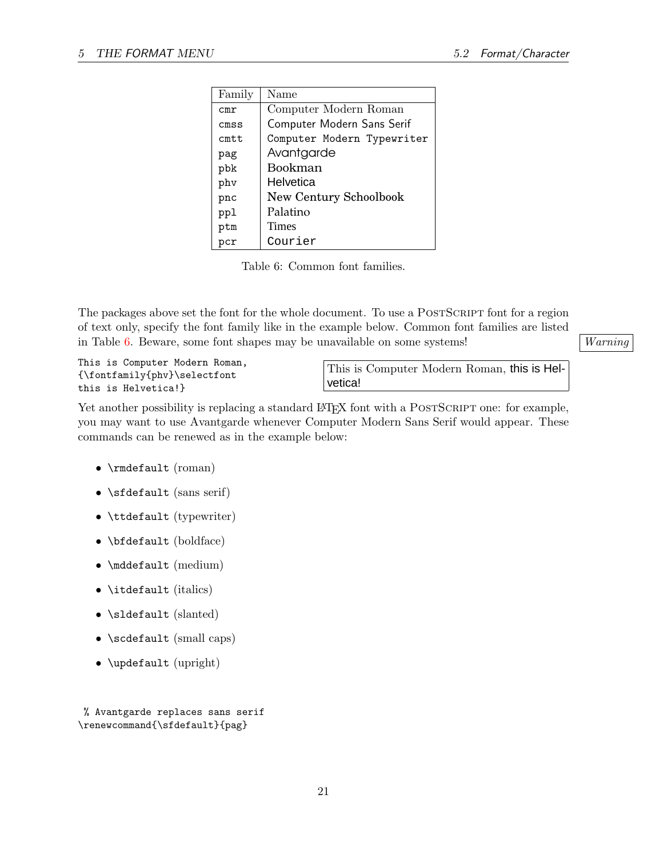| Family | Name                       |
|--------|----------------------------|
| cmr    | Computer Modern Roman      |
| cmsS   | Computer Modern Sans Serif |
| cmt.t. | Computer Modern Typewriter |
| pag    | Avantgarde                 |
| pbk    | Bookman                    |
| phy    | Helvetica                  |
| pnc    | New Century Schoolbook     |
| ppl    | Palatino                   |
| ptm    | Times                      |
| pcr    | Courier                    |

<span id="page-22-0"></span>Table 6: Common font families.

The packages above set the font for the whole document. To use a POSTSCRIPT font for a region of text only, specify the font family like in the example below. Common font families are listed in Table [6](#page-22-0). Beware, some font shapes may be unavailable on some systems! Varning

This is Computer Modern Roman, {\fontfamily{phv}\selectfont this is Helvetica!}

This is Computer Modern Roman, this is Helvetica!

Yet another possibility is replacing a standard LAT<sub>EX</sub> font with a POSTSCRIPT one: for example, you may want to use Avantgarde whenever Computer Modern Sans Serif would appear. These commands can be renewed as in the example below:

- \rmdefault (roman)
- \sfdefault (sans serif)
- \ttdefault (typewriter)
- \bfdefault (boldface)
- \mddefault (medium)
- \itdefault (italics)
- \sldefault (slanted)
- \scdefault (small caps)
- \updefault (upright)

% Avantgarde replaces sans serif \renewcommand{\sfdefault}{pag}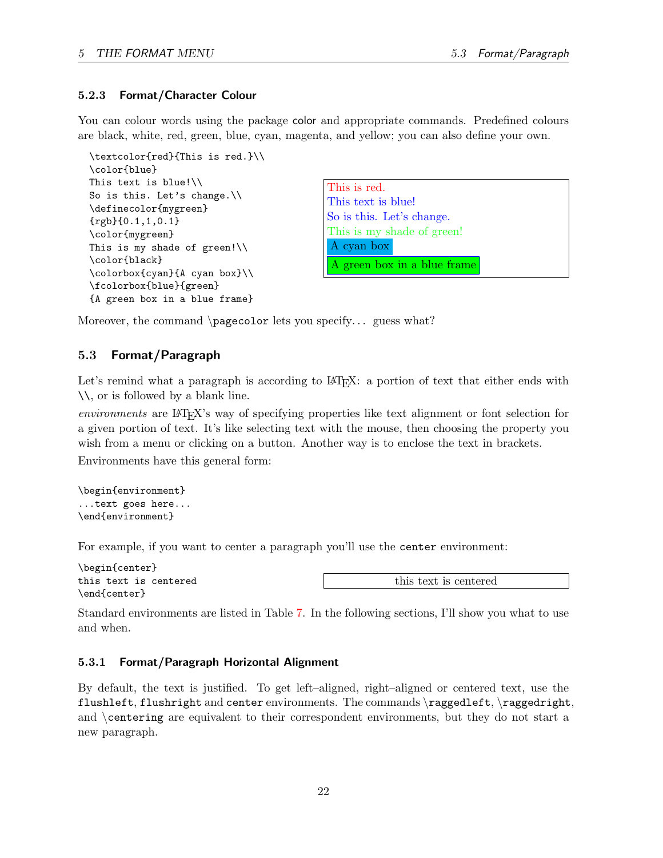#### <span id="page-23-0"></span>5.2.3 Format/Character Colour

You can colour words using the package color and appropriate commands. Predefined colours are black, white, red, green, blue, cyan, magenta, and yellow; you can also define your own.

```
\textcolor{red}{This is red.}\\
\color{blue}
This text is blue!\\
So is this. Let's change.\\
\definecolor{mygreen}
{rgb}(0.1,1,0.1)\color{mygreen}
This is my shade of green!\setminus\setminus\color{black}
\colorbox{cyan}{A cyan box}\\
\fcolorbox{blue}{green}
{A green box in a blue frame}
```
This is red. This text is blue! So is this. Let's change. This is my shade of green! A cyan box A green box in a blue frame

Moreover, the command \pagecolor lets you specify... guess what?

#### <span id="page-23-1"></span>5.3 Format/Paragraph

Let's remind what a paragraph is according to LAT<sub>EX</sub>: a portion of text that either ends with \\, or is followed by a blank line.

environments are LAT<sub>EX</sub>'s way of specifying properties like text alignment or font selection for a given portion of text. It's like selecting text with the mouse, then choosing the property you wish from a menu or clicking on a button. Another way is to enclose the text in brackets.

Environments have this general form:

```
\begin{environment}
...text goes here...
\end{environment}
```
For example, if you want to center a paragraph you'll use the center environment:

```
\begin{center}
this text is centered
\end{center}
```
this text is centered

Standard environments are listed in Table [7](#page-24-0). In the following sections, I'll show you what to use and when.

#### <span id="page-23-2"></span>5.3.1 Format/Paragraph Horizontal Alignment

By default, the text is justified. To get left–aligned, right–aligned or centered text, use the flushleft, flushright and center environments. The commands \raggedleft, \raggedright, and \centering are equivalent to their correspondent environments, but they do not start a new paragraph.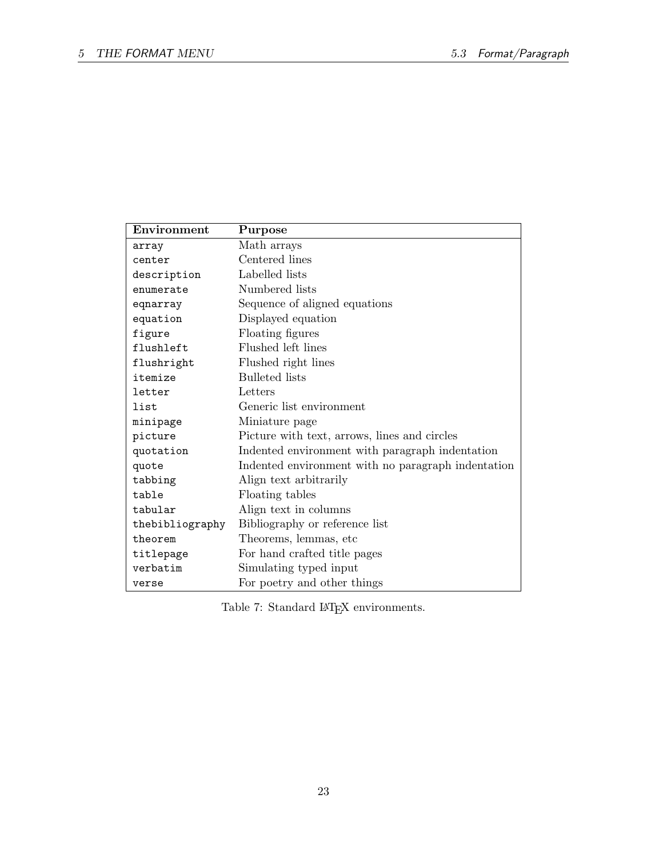| Environment     | Purpose                                            |
|-----------------|----------------------------------------------------|
| array           | Math arrays                                        |
| center          | Centered lines                                     |
| description     | Labelled lists                                     |
| enumerate       | Numbered lists                                     |
| eqnarray        | Sequence of aligned equations                      |
| equation        | Displayed equation                                 |
| figure          | Floating figures                                   |
| flushleft       | Flushed left lines                                 |
| flushright      | Flushed right lines                                |
| itemize         | <b>Bulleted</b> lists                              |
| letter          | Letters                                            |
| list            | Generic list environment                           |
| minipage        | Miniature page                                     |
| picture         | Picture with text, arrows, lines and circles       |
| quotation       | Indented environment with paragraph indentation    |
| quote           | Indented environment with no paragraph indentation |
| tabbing         | Align text arbitrarily                             |
| table           | Floating tables                                    |
| tabular         | Align text in columns                              |
| thebibliography | Bibliography or reference list                     |
| theorem         | Theorems, lemmas, etc                              |
| titlepage       | For hand crafted title pages                       |
| verbatim        | Simulating typed input                             |
| verse           | For poetry and other things                        |

<span id="page-24-0"></span>Table 7: Standard  $\LaTeX{}$  environments.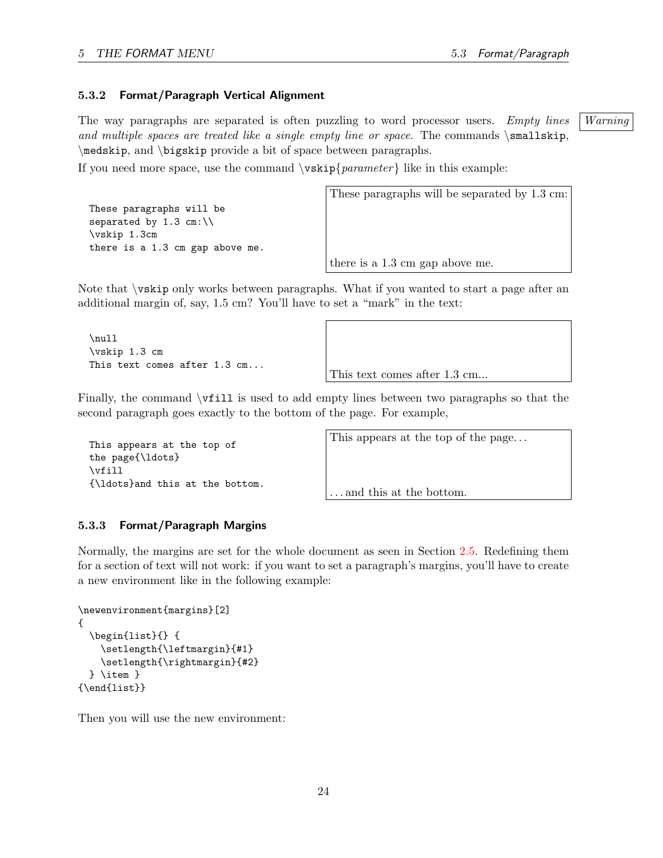#### <span id="page-25-0"></span>5.3.2 Format/Paragraph Vertical Alignment

The way paragraphs are separated is often puzzling to word processor users. Empty lines | Warning and multiple spaces are treated like a single empty line or space. The commands  $\small{\textsf{smallskip}}$ \medskip, and \bigskip provide a bit of space between paragraphs.

If you need more space, use the command  $\varepsilon$  | like in this example:

```
These paragraphs will be
separated by 1.3 cm:\\
\vskip 1.3cm
there is a 1.3 cm gap above me.
```
These paragraphs will be separated by 1.3 cm:

there is a 1.3 cm gap above me.

Note that \vskip only works between paragraphs. What if you wanted to start a page after an additional margin of, say, 1.5 cm? You'll have to set a "mark" in the text:

```
\null
\vskip 1.3 cm
This text comes after 1.3 cm...
```
This text comes after 1.3 cm...

Finally, the command \vfill is used to add empty lines between two paragraphs so that the second paragraph goes exactly to the bottom of the page. For example,

This appears at the top of the page{\ldots} \vfill {\ldots}and this at the bottom. This appears at the top of the page...

. . . and this at the bottom.

#### <span id="page-25-1"></span>5.3.3 Format/Paragraph Margins

Normally, the margins are set for the whole document as seen in Section [2.5.](#page-7-3) Redefining them for a section of text will not work: if you want to set a paragraph's margins, you'll have to create a new environment like in the following example:

```
\newenvironment{margins}[2]
{
 \begin{list}{} {
    \setlength{\leftmargin}{#1}
    \setlength{\rightmargin}{#2}
 } \item }
{\end{list}}
```
Then you will use the new environment: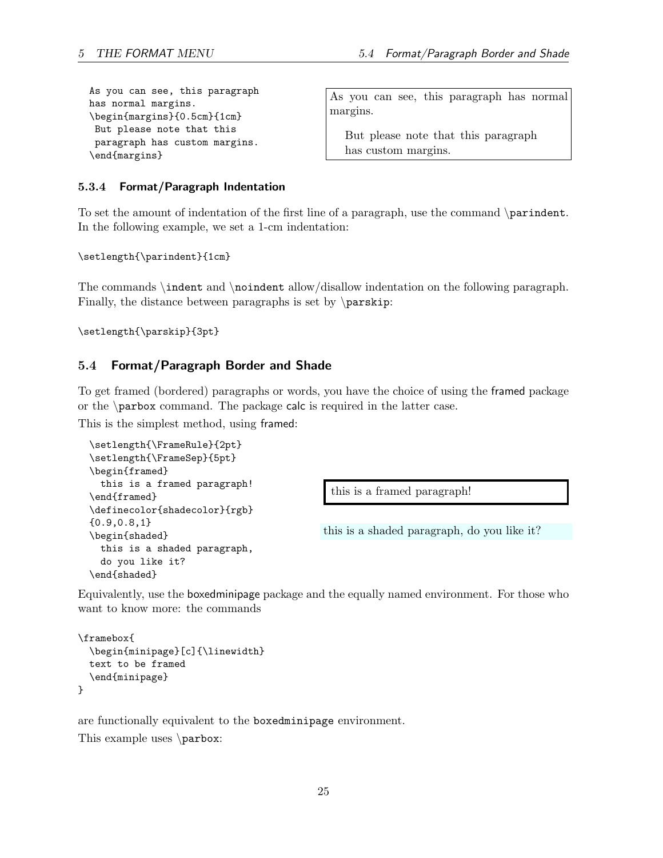```
As you can see, this paragraph
has normal margins.
\begin{margins}{0.5cm}{1cm}
But please note that this
paragraph has custom margins.
\end{margins}
```
As you can see, this paragraph has normal margins.

But please note that this paragraph has custom margins.

#### <span id="page-26-0"></span>5.3.4 Format/Paragraph Indentation

To set the amount of indentation of the first line of a paragraph, use the command \parindent. In the following example, we set a 1-cm indentation:

\setlength{\parindent}{1cm}

The commands \indent and \noindent allow/disallow indentation on the following paragraph. Finally, the distance between paragraphs is set by  $\parrow$ parskip:

\setlength{\parskip}{3pt}

#### <span id="page-26-1"></span>5.4 Format/Paragraph Border and Shade

To get framed (bordered) paragraphs or words, you have the choice of using the framed package or the \parbox command. The package calc is required in the latter case.

This is the simplest method, using framed:

```
\setlength{\FrameRule}{2pt}
\setlength{\FrameSep}{5pt}
\begin{framed}
 this is a framed paragraph!
\end{framed}
\definecolor{shadecolor}{rgb}
{0.9,0.8,1}
\begin{shaded}
 this is a shaded paragraph,
 do you like it?
\end{shaded}
```
this is a framed paragraph!

this is a shaded paragraph, do you like it?

Equivalently, use the boxedminipage package and the equally named environment. For those who want to know more: the commands

```
\framebox{
  \begin{minipage}[c]{\linewidth}
  text to be framed
  \end{minipage}
}
```
are functionally equivalent to the boxedminipage environment.

This example uses \parbox: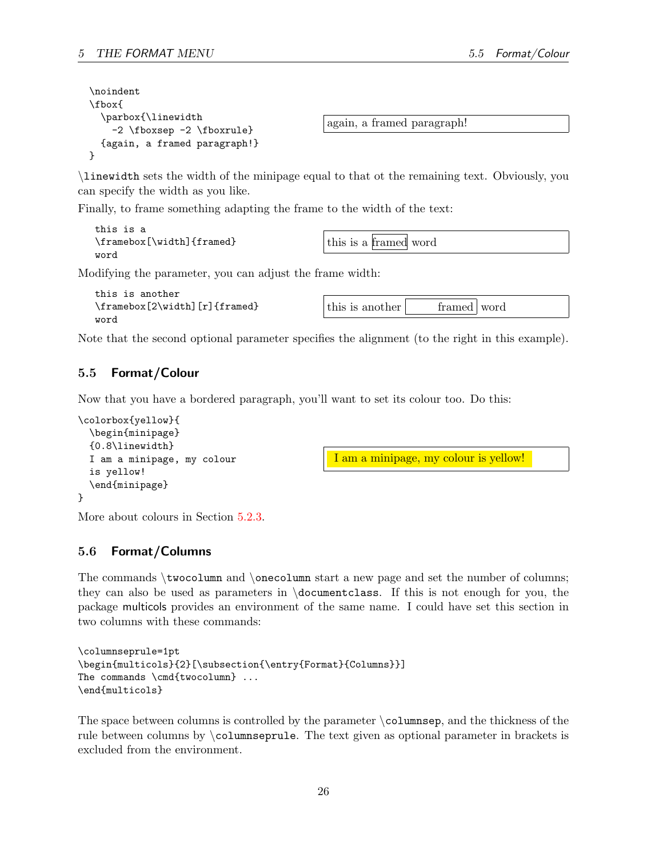```
\noindent
\fbox{
  \parbox{\linewidth
    -2 \fboxsep -2 \fboxrule}
  {again, a framed paragraph!}
}
```
again, a framed paragraph!

\linewidth sets the width of the minipage equal to that ot the remaining text. Obviously, you can specify the width as you like.

Finally, to frame something adapting the frame to the width of the text:

```
this is a
\framebox[\width]{framed}
word
```
this is a framed word

Modifying the parameter, you can adjust the frame width:

```
this is another
\framebox[2\width][r]{framed}
word
```

| this is another<br>framed word |
|--------------------------------|
|--------------------------------|

Note that the second optional parameter specifies the alignment (to the right in this example).

## <span id="page-27-0"></span>5.5 Format/Colour

Now that you have a bordered paragraph, you'll want to set its colour too. Do this:

```
\colorbox{yellow}{
  \begin{minipage}
  {0.8\linewidth}
  I am a minipage, my colour
  is yellow!
  \end{minipage}
}
```
I am a minipage, my colour is yellow!

More about colours in Section [5.2.3.](#page-23-0)

## <span id="page-27-1"></span>5.6 Format/Columns

The commands  $\text{non-m}$  and  $\text{non-m}$  start a new page and set the number of columns; they can also be used as parameters in \documentclass. If this is not enough for you, the package multicols provides an environment of the same name. I could have set this section in two columns with these commands:

```
\columnseprule=1pt
\begin{multicols}{2}[\subsection{\entry{Format}{Columns}}]
The commands \cmd{twocolumn} ...
\end{multicols}
```
The space between columns is controlled by the parameter  $\cosh(m)$ , and the thickness of the rule between columns by \columnseprule. The text given as optional parameter in brackets is excluded from the environment.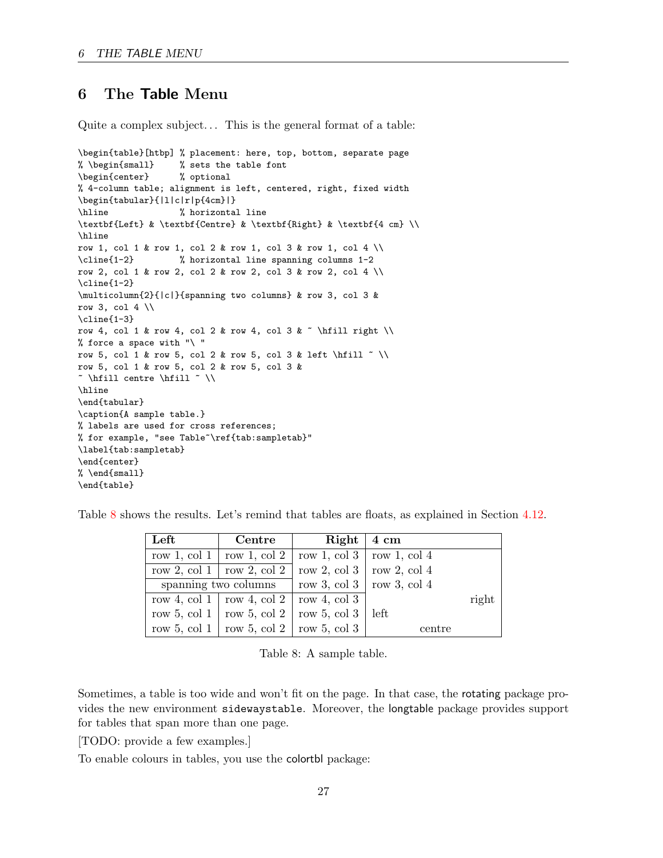## <span id="page-28-0"></span>6 The Table Menu

Quite a complex subject... This is the general format of a table:

```
\begin{table}[htbp] % placement: here, top, bottom, separate page
% \begin{small} % sets the table font
\begin{center} % optional
% 4-column table; alignment is left, centered, right, fixed width
\begin{tabular}{|l|c|r|p{4cm}|}
\hline % horizontal line
\textbf{Left} & \textbf{Centre} & \textbf{Right} & \textbf{4 cm} \\
\hline
row 1, col 1 & row 1, col 2 & row 1, col 3 & row 1, col 4 \\
\cline{1-2} % horizontal line spanning columns 1-2
row 2, col 1 & row 2, col 2 & row 2, col 3 & row 2, col 4 \\
\cline{1-2}
\multicolumn{2}{|c|}{spanning two columns} & row 3, col 3 &
row 3, col 4 \setminus\cline{1-3}
row 4, col 1 & row 4, col 2 & row 4, col 3 & ~ \hfill right \\
% force a space with "\ "
row 5, col 1 & row 5, col 2 & row 5, col 3 & left \hfill \tilde{ } \\
row 5, col 1 & row 5, col 2 & row 5, col 3 &
~ \hfill centre \hfill ~ \\
\hline
\end{tabular}
\caption{A sample table.}
% labels are used for cross references;
% for example, "see Table~\ref{tab:sampletab}"
\label{tab:sampletab}
\end{center}
% \end{small}
\end{table}
```
Table [8](#page-28-1) shows the results. Let's remind that tables are floats, as explained in Section [4.12](#page-16-2).

| $\operatorname{Left}$ | $\operatorname{Centre}$                                        | $Right \mid 4 \text{ cm}$ |        |       |
|-----------------------|----------------------------------------------------------------|---------------------------|--------|-------|
|                       | row 1, col 1   row 1, col 2   row 1, col 3   row 1, col 4      |                           |        |       |
|                       | row 2, col 1   row 2, col 2   row 2, col 3   row 2, col 4      |                           |        |       |
|                       | spanning two columns $\vert$ row 3, col 3 $\vert$ row 3, col 4 |                           |        |       |
|                       | row 4, col 1   row 4, col 2   row 4, col 3                     |                           |        | right |
|                       | row 5, col 1   row 5, col 2   row 5, col 3   left              |                           |        |       |
|                       | row 5, col 1   row 5, col 2   row 5, col 3                     |                           | centre |       |

<span id="page-28-1"></span>Table 8: A sample table.

Sometimes, a table is too wide and won't fit on the page. In that case, the rotating package provides the new environment sidewaystable. Moreover, the longtable package provides support for tables that span more than one page.

[TODO: provide a few examples.]

To enable colours in tables, you use the colortbl package: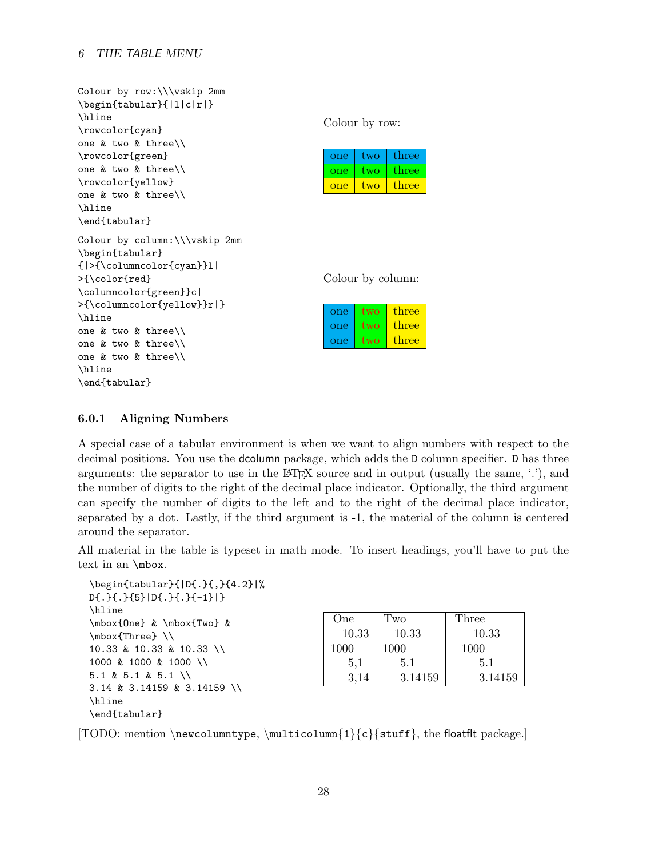| Colour by row:\\\vskip 2mm     |                |      |                   |
|--------------------------------|----------------|------|-------------------|
| \begin{tabular}{ l c r }       |                |      |                   |
| \hline                         | Colour by row: |      |                   |
| \rowcolor{cyan}                |                |      |                   |
| one $&$ two $&$ three\\        |                |      |                   |
| \rowcolor{green}               | one            | two  | three             |
| one $&$ two $&$ three\\        | one            | two  | three             |
| \rowcolor{yellow}              | one            | two  | three             |
| one $&$ two $&$ three\\        |                |      |                   |
| \hline                         |                |      |                   |
| \end{tabular}                  |                |      |                   |
| Colour by column: \\\vskip 2mm |                |      |                   |
| \begin{tabular}                |                |      |                   |
| { >{\columncolor{cyan}}1       |                |      |                   |
| >{\color{red}                  |                |      | Colour by column: |
| \columncolor{green}}c          |                |      |                   |
| >{\columncolor{yellow}}r }     |                |      |                   |
| \hline                         | one            | two  | three             |
| one $&$ two $&$ three\\        | one            | two. | three             |
| one & two & three $\setminus$  | one            | two. | three             |
| one & two & three $\setminus$  |                |      |                   |
| \hline                         |                |      |                   |
| \end{tabular}                  |                |      |                   |

#### <span id="page-29-0"></span>6.0.1 Aligning Numbers

A special case of a tabular environment is when we want to align numbers with respect to the decimal positions. You use the dcolumn package, which adds the D column specifier. D has three arguments: the separator to use in the LAT<sub>EX</sub> source and in output (usually the same,  $\langle \cdot \rangle$ ), and the number of digits to the right of the decimal place indicator. Optionally, the third argument can specify the number of digits to the left and to the right of the decimal place indicator, separated by a dot. Lastly, if the third argument is -1, the material of the column is centered around the separator.

All material in the table is typeset in math mode. To insert headings, you'll have to put the text in an \mbox.

```
\begin{tabular}{|D{.}{,}{4.2}|%
D{.}{.}{5}|D{.}{.}{-1}|}
\hline
\mbox{One} & \mbox{Two} &
\mbox{Three} \\
10.33 & 10.33 & 10.33 \\
1000 & 1000 & 1000 \\
5.1 & 5.1 & 5.1 \\
3.14 & 3.14159 & 3.14159 \\
\hline
\end{tabular}
```

| One   | Two     | Three   |
|-------|---------|---------|
| 10,33 | 10.33   | 10.33   |
| 1000  | 1000    | 1000    |
| 5,1   | 5.1     | 5.1     |
| 3.14  | 3.14159 | 3.14159 |

[TODO: mention \newcolumntype, \multicolumn{1}{c}{stuff}, the floatflt package.]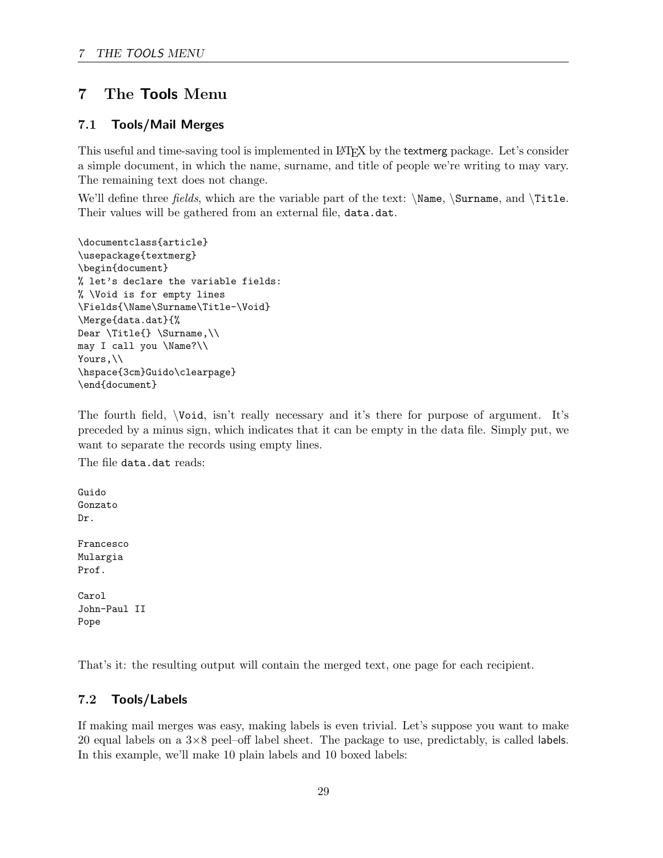## <span id="page-30-0"></span>7 The Tools Menu

### <span id="page-30-1"></span>7.1 Tools/Mail Merges

This useful and time-saving tool is implemented in LATEX by the textmerg package. Let's consider a simple document, in which the name, surname, and title of people we're writing to may vary. The remaining text does not change.

We'll define three fields, which are the variable part of the text:  $\Name$ ,  $\sum$ , and  $\Title$ . Their values will be gathered from an external file, data.dat.

```
\documentclass{article}
\usepackage{textmerg}
\begin{document}
% let's declare the variable fields:
% \Void is for empty lines
\Fields{\Name\Surname\Title-\Void}
\Merge{data.dat}{%
Dear \Title{} \Surname,\\
may I call you \Name?\\
Yours, \\
\hspace{3cm}Guido\clearpage}
\end{document}
```
The fourth field, \Void, isn't really necessary and it's there for purpose of argument. It's preceded by a minus sign, which indicates that it can be empty in the data file. Simply put, we want to separate the records using empty lines.

The file data.dat reads:

Guido Gonzato Dr. Francesco Mulargia Prof. Carol John-Paul II Pope

That's it: the resulting output will contain the merged text, one page for each recipient.

## <span id="page-30-2"></span>7.2 Tools/Labels

If making mail merges was easy, making labels is even trivial. Let's suppose you want to make 20 equal labels on a  $3\times8$  peel–off label sheet. The package to use, predictably, is called labels. In this example, we'll make 10 plain labels and 10 boxed labels: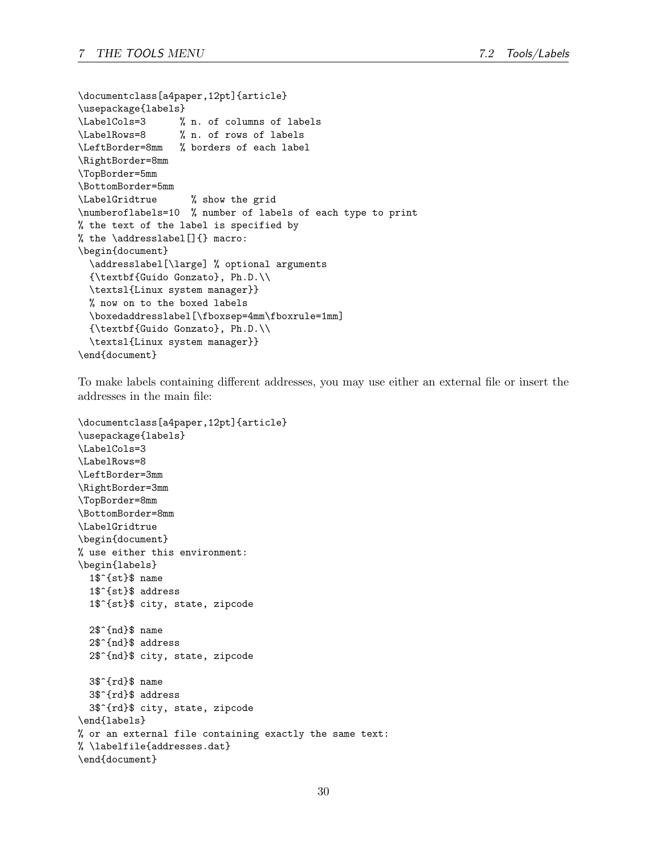```
\documentclass[a4paper,12pt]{article}
\usepackage{labels}
\LabelCols=3 % n. of columns of labels
\LabelRows=8 % n. of rows of labels
\LeftBorder=8mm % borders of each label
\RightBorder=8mm
\TopBorder=5mm
\BottomBorder=5mm
\LabelGridtrue % show the grid
\numberoflabels=10 % number of labels of each type to print
% the text of the label is specified by
% the \addresslabel[]{} macro:
\begin{document}
 \addresslabel[\large] % optional arguments
 {\textbf{Guido Gonzato}, Ph.D.\\
 \textsl{Linux system manager}}
 % now on to the boxed labels
 \boxedaddresslabel[\fboxsep=4mm\fboxrule=1mm]
 {\textbf{Guido Gonzato}, Ph.D.\\
 \textsl{Linux system manager}}
\end{document}
```
To make labels containing different addresses, you may use either an external file or insert the addresses in the main file:

```
\documentclass[a4paper,12pt]{article}
\usepackage{labels}
\LabelCols=3
\LabelRows=8
\LeftBorder=3mm
\RightBorder=3mm
\TopBorder=8mm
\BottomBorder=8mm
\LabelGridtrue
\begin{document}
% use either this environment:
\begin{labels}
 1$^{st}$ name
  1$^{st}$ address
  1$^{st}$ city, state, zipcode
  2$^{nd}$ name
  2$^{nd}$ address
  2$^{nd}$ city, state, zipcode
  3$^{rd}$ name
  3$^{rd}$ address
 3$^{rd}$ city, state, zipcode
\end{labels}
% or an external file containing exactly the same text:
% \labelfile{addresses.dat}
\end{document}
```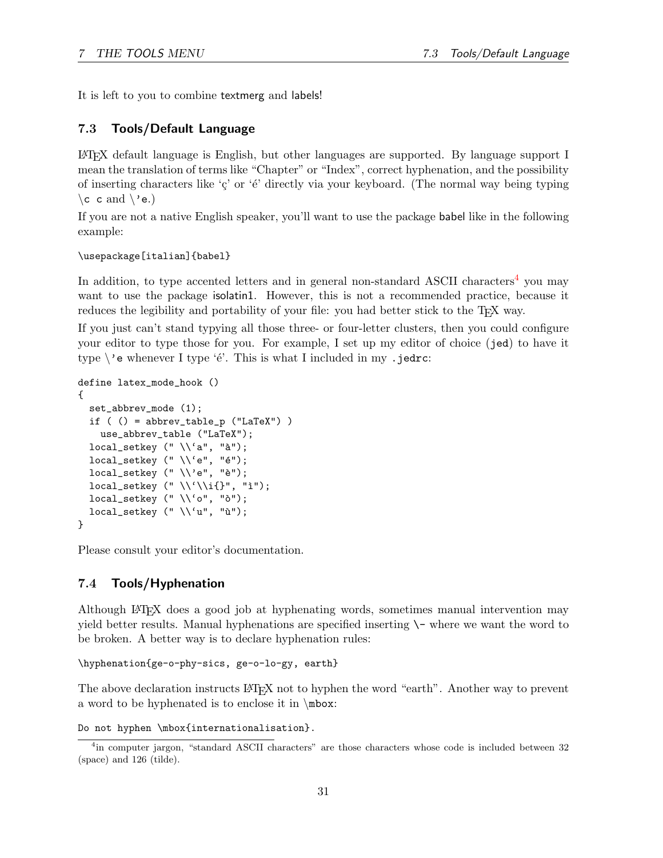It is left to you to combine textmerg and labels!

## <span id="page-32-0"></span>7.3 Tools/Default Language

LATEX default language is English, but other languages are supported. By language support I mean the translation of terms like "Chapter" or "Index", correct hyphenation, and the possibility of inserting characters like  $\zeta$  or  $\zeta$  directly via your keyboard. (The normal way being typing  $\c$  c and  $\vee$  e.)

If you are not a native English speaker, you'll want to use the package babel like in the following example:

#### \usepackage[italian]{babel}

In addition, to type accented letters and in general non-standard ASCII characters<sup>[4](#page-32-2)</sup> you may want to use the package isolatin1. However, this is not a recommended practice, because it reduces the legibility and portability of your file: you had better stick to the T<sub>EX</sub> way.

If you just can't stand typying all those three- or four-letter clusters, then you could configure your editor to type those for you. For example, I set up my editor of choice (jed) to have it type  $\backslash$ 'e whenever I type 'é'. This is what I included in my .jedrc:

```
define latex_mode_hook ()
{
  set_abbrev_mode (1);
  if ( () = abbrev_table_p ("LaTeX") )
    use_abbrev_table ("LaTeX");
  local_setkey (" \ \\a^n, "à");local\_setkey (" \\'e", "é");
  local_setkey (" \ \\vee\", "è");
  local_setkey (" \ \\'\\i{\}", "i");local_setkey (" \ \\\'o", "o");
  local_setkey (" \ \\\u", "ù");}
```
Please consult your editor's documentation.

#### <span id="page-32-1"></span>7.4 Tools/Hyphenation

Although LATEX does a good job at hyphenating words, sometimes manual intervention may yield better results. Manual hyphenations are specified inserting  $\setminus$  where we want the word to be broken. A better way is to declare hyphenation rules:

```
\hyphenation{ge-o-phy-sics, ge-o-lo-gy, earth}
```
The above declaration instructs LATEX not to hyphen the word "earth". Another way to prevent a word to be hyphenated is to enclose it in \mbox:

```
Do not hyphen \mbox{internationalisation}.
```
<span id="page-32-2"></span><sup>&</sup>lt;sup>4</sup>in computer jargon, "standard ASCII characters" are those characters whose code is included between 32 (space) and 126 (tilde).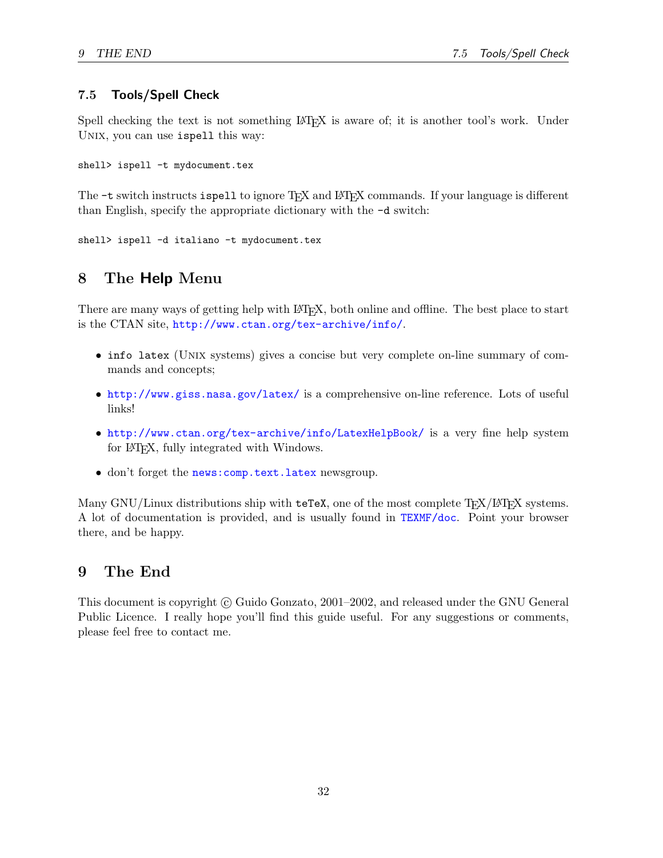### <span id="page-33-0"></span>7.5 Tools/Spell Check

Spell checking the text is not something LATEX is aware of; it is another tool's work. Under UNIX, you can use ispell this way:

shell> ispell -t mydocument.tex

The  $-t$  switch instructs ispell to ignore T<sub>EX</sub> and L<sup>AT</sup>EX commands. If your language is different than English, specify the appropriate dictionary with the -d switch:

```
shell> ispell -d italiano -t mydocument.tex
```
## <span id="page-33-1"></span>8 The Help Menu

There are many ways of getting help with LATEX, both online and offline. The best place to start is the CTAN site, <http://www.ctan.org/tex-archive/info/>.

- info latex (UNIX systems) gives a concise but very complete on-line summary of commands and concepts;
- <http://www.giss.nasa.gov/latex/> is a comprehensive on-line reference. Lots of useful links!
- <http://www.ctan.org/tex-archive/info/LatexHelpBook/> is a very fine help system for LAT<sub>EX</sub>, fully integrated with Windows.
- don't forget the news: comp.text.latex newsgroup.

Many GNU/Linux distributions ship with  $\texttt{teTeX}$ , one of the most complete T<sub>EX</sub>/LAT<sub>EX</sub> systems. A lot of documentation is provided, and is usually found in <TEXMF/doc>. Point your browser there, and be happy.

## <span id="page-33-2"></span>9 The End

This document is copyright © Guido Gonzato, 2001–2002, and released under the GNU General Public Licence. I really hope you'll find this guide useful. For any suggestions or comments, please feel free to contact me.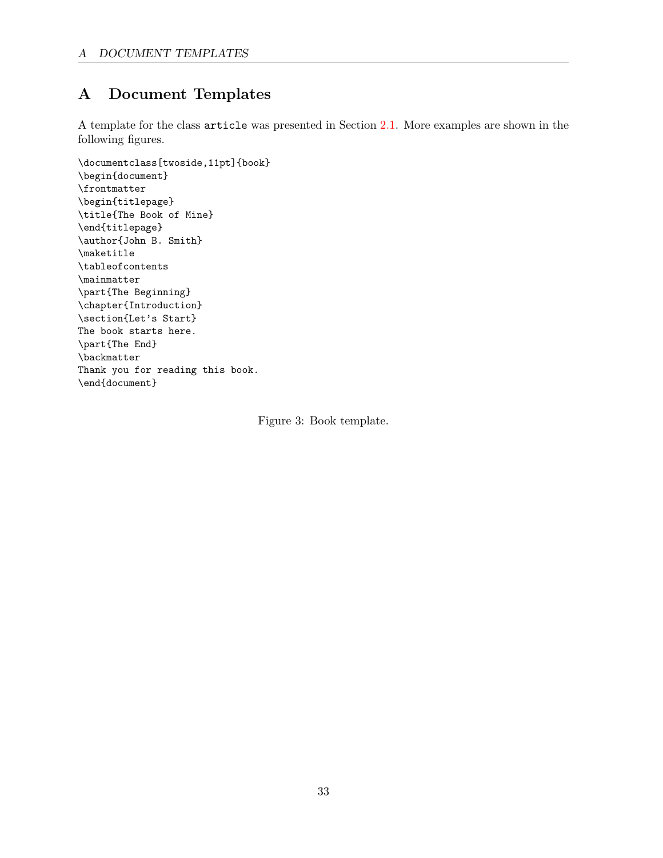# <span id="page-34-0"></span>A Document Templates

A template for the class article was presented in Section [2.1](#page-6-1). More examples are shown in the following figures.

```
\documentclass[twoside,11pt]{book}
\begin{document}
\frontmatter
\begin{titlepage}
\title{The Book of Mine}
\end{titlepage}
\author{John B. Smith}
\maketitle
\tableofcontents
\mainmatter
\part{The Beginning}
\chapter{Introduction}
\section{Let's Start}
The book starts here.
\part{The End}
\backmatter
Thank you for reading this book.
\end{document}
```
<span id="page-34-1"></span>Figure 3: Book template.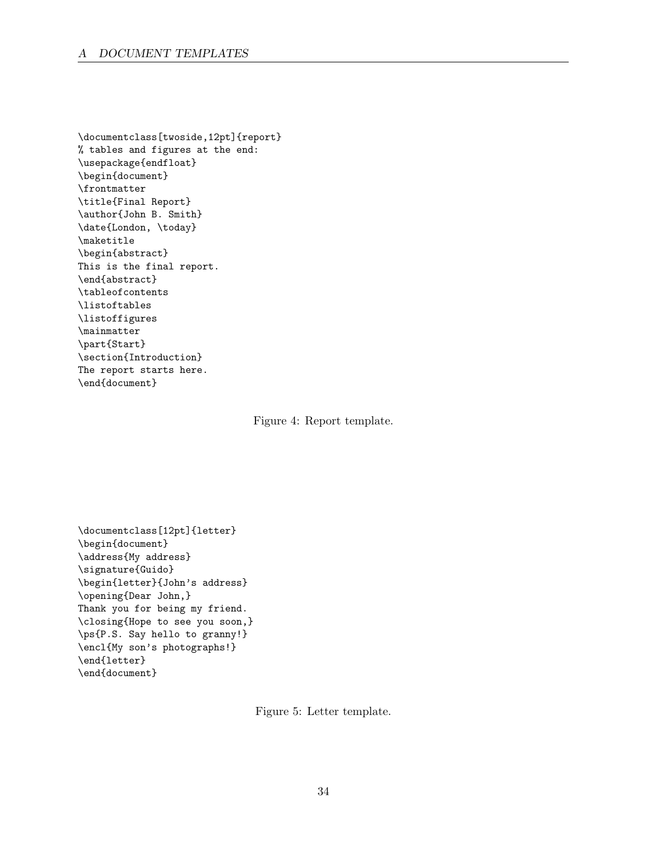#### A DOCUMENT TEMPLATES

\documentclass[twoside,12pt]{report} % tables and figures at the end: \usepackage{endfloat} \begin{document} \frontmatter \title{Final Report} \author{John B. Smith} \date{London, \today} \maketitle \begin{abstract} This is the final report. \end{abstract} \tableofcontents \listoftables \listoffigures \mainmatter \part{Start} \section{Introduction} The report starts here. \end{document}

<span id="page-35-0"></span>Figure 4: Report template.

```
\documentclass[12pt]{letter}
\begin{document}
\address{My address}
\signature{Guido}
\begin{letter}{John's address}
\opening{Dear John,}
Thank you for being my friend.
\closing{Hope to see you soon,}
\ps{P.S. Say hello to granny!}
\encl{My son's photographs!}
\end{letter}
\end{document}
```
<span id="page-35-1"></span>Figure 5: Letter template.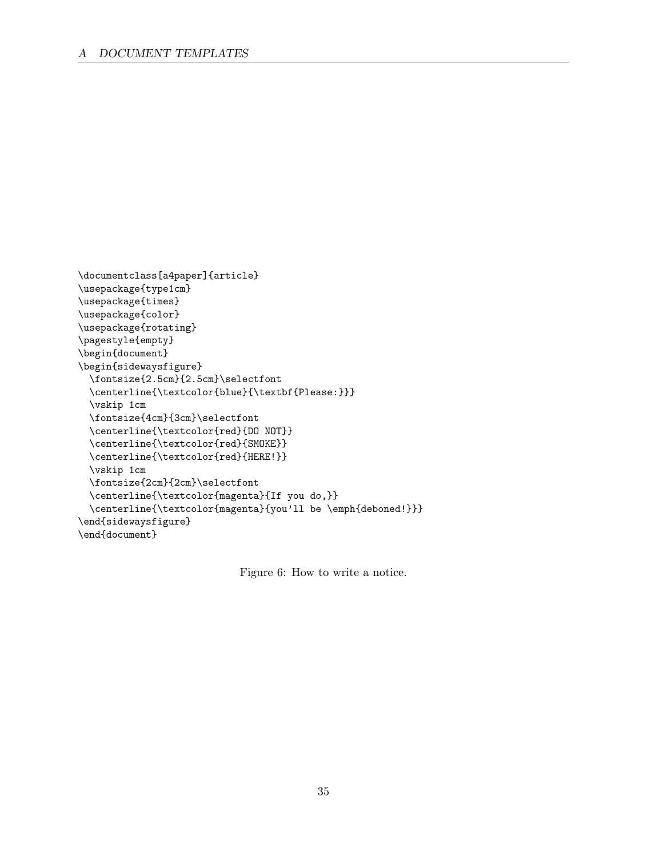```
\documentclass[a4paper]{article}
\usepackage{type1cm}
\usepackage{times}
\usepackage{color}
\usepackage{rotating}
\pagestyle{empty}
\begin{document}
\begin{sidewaysfigure}
    \fontsize{2.5cm}{2.5cm}\selectfont
    \verb+\center| the \verb+\text+ is the same as follows: \verb+\text+ is the same as follows: \verb+\text+ is the same as follows: \verb+\text+ is the same as follows: \verb+\text+ is the same as follows: \verb+\text+ is the same as follows: \verb+\text+ is the same as follows: \verb+\text+ is the same as follows: \verb+\text+ is the same as follows: \verb+\text+ is the same as follows: \verb+\text+ is the same as follows: \verb+\text+ is the same as follows: \verb+\text+ is the same as follows: \verb+\text+ is the same as follows: \verb+\text+ is the same as follows: \verb+\text+ is the same as follows: \verb+\text+ is the same as follows: \verb+\text+ is the same as follows: \verb+\text+ is the same as follows: \verb+\text+\vskip 1cm
    \fontsize{4cm}{3cm}\selectfont
    \centerline{\textcolor{red}{DO NOT}}
    \centerline{\textcolor{red}{SMOKE}}
    \centerline{\textcolor{red}{HERE!}}
    \vskip 1cm
    \fontsize{2cm}{2cm}\selectfont
    \centerline{\textcolor{magenta}{If you do,}}
    \centerline{\textcolor{magenta}{you'll be \emph{deboned!}}}
\end{sidewaysfigure}
\end{document}
```
<span id="page-36-0"></span>Figure 6: How to write a notice.